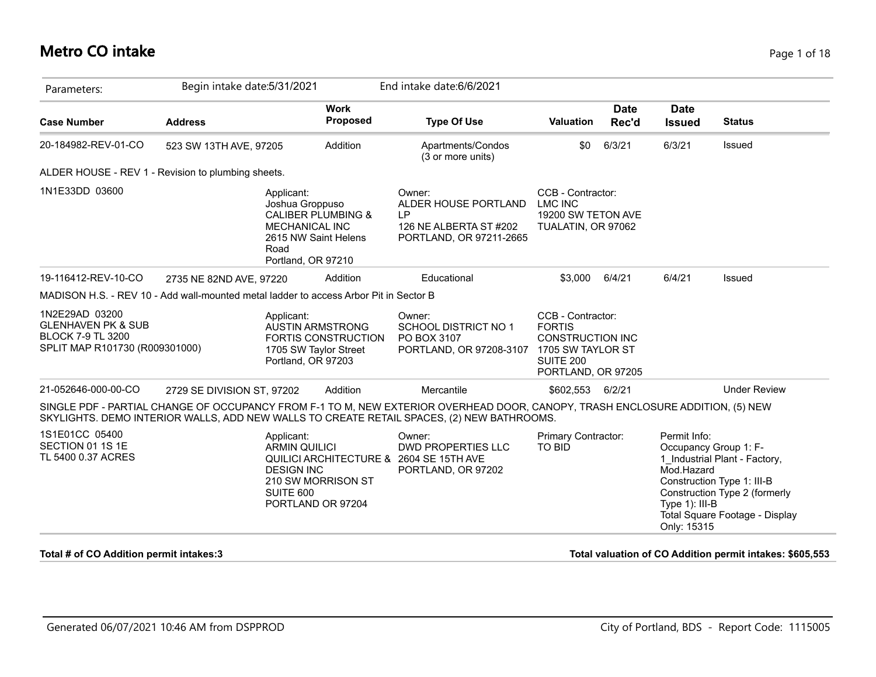# **Metro CO intake** Page 1 of 18

| Parameters:                                                                                                   | Begin intake date: 5/31/2021 |                                                                                                              |                                | End intake date: 6/6/2021                                                                                                                                                                                                  |                                                                                                  |                      |                                                                                      |                                                                                                                                |
|---------------------------------------------------------------------------------------------------------------|------------------------------|--------------------------------------------------------------------------------------------------------------|--------------------------------|----------------------------------------------------------------------------------------------------------------------------------------------------------------------------------------------------------------------------|--------------------------------------------------------------------------------------------------|----------------------|--------------------------------------------------------------------------------------|--------------------------------------------------------------------------------------------------------------------------------|
| <b>Case Number</b>                                                                                            | <b>Address</b>               |                                                                                                              | <b>Work</b><br><b>Proposed</b> | <b>Type Of Use</b>                                                                                                                                                                                                         | <b>Valuation</b>                                                                                 | <b>Date</b><br>Rec'd | <b>Date</b><br><b>Issued</b>                                                         | <b>Status</b>                                                                                                                  |
| 20-184982-REV-01-CO                                                                                           | 523 SW 13TH AVE, 97205       |                                                                                                              | Addition                       | Apartments/Condos<br>(3 or more units)                                                                                                                                                                                     | \$0                                                                                              | 6/3/21               | 6/3/21                                                                               | Issued                                                                                                                         |
| ALDER HOUSE - REV 1 - Revision to plumbing sheets.                                                            |                              |                                                                                                              |                                |                                                                                                                                                                                                                            |                                                                                                  |                      |                                                                                      |                                                                                                                                |
| 1N1E33DD 03600                                                                                                |                              | Applicant:<br>Joshua Groppuso<br><b>MECHANICAL INC</b><br>2615 NW Saint Helens<br>Road<br>Portland, OR 97210 | <b>CALIBER PLUMBING &amp;</b>  | Owner:<br>ALDER HOUSE PORTLAND<br><b>LP</b><br>126 NE ALBERTA ST #202<br>PORTLAND, OR 97211-2665                                                                                                                           | CCB - Contractor:<br><b>LMC INC</b><br>19200 SW TETON AVE<br>TUALATIN, OR 97062                  |                      |                                                                                      |                                                                                                                                |
| 19-116412-REV-10-CO                                                                                           | 2735 NE 82ND AVE, 97220      |                                                                                                              | Addition                       | Educational                                                                                                                                                                                                                | \$3,000                                                                                          | 6/4/21               | 6/4/21                                                                               | Issued                                                                                                                         |
| MADISON H.S. - REV 10 - Add wall-mounted metal ladder to access Arbor Pit in Sector B                         |                              |                                                                                                              |                                |                                                                                                                                                                                                                            |                                                                                                  |                      |                                                                                      |                                                                                                                                |
| 1N2E29AD 03200<br><b>GLENHAVEN PK &amp; SUB</b><br><b>BLOCK 7-9 TL 3200</b><br>SPLIT MAP R101730 (R009301000) |                              | Applicant:<br><b>AUSTIN ARMSTRONG</b><br>1705 SW Taylor Street<br>Portland, OR 97203                         | FORTIS CONSTRUCTION            | Owner:<br><b>SCHOOL DISTRICT NO 1</b><br>PO BOX 3107<br>PORTLAND, OR 97208-3107 1705 SW TAYLOR ST                                                                                                                          | CCB - Contractor:<br><b>FORTIS</b><br><b>CONSTRUCTION INC</b><br>SUITE 200<br>PORTLAND, OR 97205 |                      |                                                                                      |                                                                                                                                |
| 21-052646-000-00-CO                                                                                           | 2729 SE DIVISION ST, 97202   |                                                                                                              | Addition                       | Mercantile                                                                                                                                                                                                                 | \$602,553 6/2/21                                                                                 |                      |                                                                                      | <b>Under Review</b>                                                                                                            |
|                                                                                                               |                              |                                                                                                              |                                | SINGLE PDF - PARTIAL CHANGE OF OCCUPANCY FROM F-1 TO M, NEW EXTERIOR OVERHEAD DOOR, CANOPY, TRASH ENCLOSURE ADDITION, (5) NEW<br>SKYLIGHTS. DEMO INTERIOR WALLS, ADD NEW WALLS TO CREATE RETAIL SPACES, (2) NEW BATHROOMS. |                                                                                                  |                      |                                                                                      |                                                                                                                                |
| 1S1E01CC 05400<br>SECTION 01 1S 1E<br>TL 5400 0.37 ACRES                                                      |                              | Applicant:<br><b>ARMIN QUILICI</b><br><b>DESIGN INC</b><br>SUITE 600<br>PORTLAND OR 97204                    | 210 SW MORRISON ST             | Owner:<br><b>DWD PROPERTIES LLC</b><br>QUILICI ARCHITECTURE & 2604 SE 15TH AVE<br>PORTLAND, OR 97202                                                                                                                       | Primary Contractor:<br>TO BID                                                                    |                      | Permit Info:<br>Occupancy Group 1: F-<br>Mod.Hazard<br>Type 1): III-B<br>Only: 15315 | 1 Industrial Plant - Factory,<br>Construction Type 1: III-B<br>Construction Type 2 (formerly<br>Total Square Footage - Display |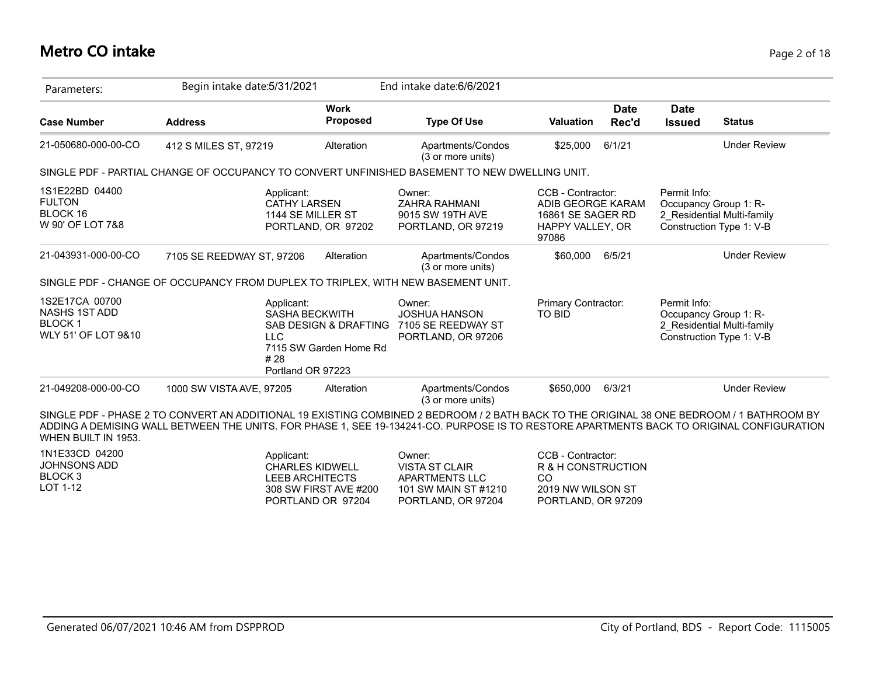| Parameters:                                                                    | Begin intake date: 5/31/2021                                                                  |                                                                                               | End intake date: 6/6/2021                                                                       |                                                                                                 |                                                                                                                                                                                                                                                                                       |
|--------------------------------------------------------------------------------|-----------------------------------------------------------------------------------------------|-----------------------------------------------------------------------------------------------|-------------------------------------------------------------------------------------------------|-------------------------------------------------------------------------------------------------|---------------------------------------------------------------------------------------------------------------------------------------------------------------------------------------------------------------------------------------------------------------------------------------|
| <b>Case Number</b>                                                             | <b>Address</b>                                                                                | <b>Work</b><br><b>Proposed</b>                                                                | <b>Type Of Use</b>                                                                              | <b>Date</b><br><b>Valuation</b><br>Rec'd                                                        | <b>Date</b><br><b>Status</b><br><b>Issued</b>                                                                                                                                                                                                                                         |
| 21-050680-000-00-CO                                                            | 412 S MILES ST, 97219                                                                         | Alteration                                                                                    | Apartments/Condos<br>(3 or more units)                                                          | 6/1/21<br>\$25,000                                                                              | <b>Under Review</b>                                                                                                                                                                                                                                                                   |
|                                                                                | SINGLE PDF - PARTIAL CHANGE OF OCCUPANCY TO CONVERT UNFINISHED BASEMENT TO NEW DWELLING UNIT. |                                                                                               |                                                                                                 |                                                                                                 |                                                                                                                                                                                                                                                                                       |
| 1S1E22BD 04400<br><b>FULTON</b><br>BLOCK 16<br>W 90' OF LOT 7&8                | Applicant:                                                                                    | <b>CATHY LARSEN</b><br>1144 SE MILLER ST<br>PORTLAND, OR 97202                                | Owner:<br>ZAHRA RAHMANI<br>9015 SW 19TH AVE<br>PORTLAND, OR 97219                               | CCB - Contractor:<br>ADIB GEORGE KARAM<br>16861 SE SAGER RD<br>HAPPY VALLEY, OR<br>97086        | Permit Info:<br>Occupancy Group 1: R-<br>2 Residential Multi-family<br>Construction Type 1: V-B                                                                                                                                                                                       |
| 21-043931-000-00-CO                                                            | 7105 SE REEDWAY ST, 97206                                                                     | Alteration                                                                                    | Apartments/Condos<br>(3 or more units)                                                          | 6/5/21<br>\$60,000                                                                              | <b>Under Review</b>                                                                                                                                                                                                                                                                   |
|                                                                                | SINGLE PDF - CHANGE OF OCCUPANCY FROM DUPLEX TO TRIPLEX, WITH NEW BASEMENT UNIT.              |                                                                                               |                                                                                                 |                                                                                                 |                                                                                                                                                                                                                                                                                       |
| 1S2E17CA 00700<br><b>NASHS 1ST ADD</b><br><b>BLOCK1</b><br>WLY 51' OF LOT 9&10 | Applicant:<br><b>LLC</b><br># 28                                                              | <b>SASHA BECKWITH</b><br>SAB DESIGN & DRAFTING<br>7115 SW Garden Home Rd<br>Portland OR 97223 | Owner:<br><b>JOSHUA HANSON</b><br>7105 SE REEDWAY ST<br>PORTLAND, OR 97206                      | Primary Contractor:<br>TO BID                                                                   | Permit Info:<br>Occupancy Group 1: R-<br>2 Residential Multi-family<br>Construction Type 1: V-B                                                                                                                                                                                       |
| 21-049208-000-00-CO                                                            | 1000 SW VISTA AVE, 97205                                                                      | Alteration                                                                                    | Apartments/Condos<br>(3 or more units)                                                          | \$650,000<br>6/3/21                                                                             | <b>Under Review</b>                                                                                                                                                                                                                                                                   |
| WHEN BUILT IN 1953.                                                            |                                                                                               |                                                                                               |                                                                                                 |                                                                                                 | SINGLE PDF - PHASE 2 TO CONVERT AN ADDITIONAL 19 EXISTING COMBINED 2 BEDROOM / 2 BATH BACK TO THE ORIGINAL 38 ONE BEDROOM / 1 BATHROOM BY<br>ADDING A DEMISING WALL BETWEEN THE UNITS. FOR PHASE 1, SEE 19-134241-CO. PURPOSE IS TO RESTORE APARTMENTS BACK TO ORIGINAL CONFIGURATION |
| 1N1E33CD 04200<br><b>JOHNSONS ADD</b><br>BLOCK <sub>3</sub><br>LOT 1-12        | Applicant:                                                                                    | <b>CHARLES KIDWELL</b><br>LEEB ARCHITECTS<br>308 SW FIRST AVE #200<br>PORTLAND OR 97204       | Owner:<br><b>VISTA ST CLAIR</b><br>APARTMENTS LLC<br>101 SW MAIN ST #1210<br>PORTLAND, OR 97204 | CCB - Contractor:<br>R & H CONSTRUCTION<br><b>CO</b><br>2019 NW WILSON ST<br>PORTLAND, OR 97209 |                                                                                                                                                                                                                                                                                       |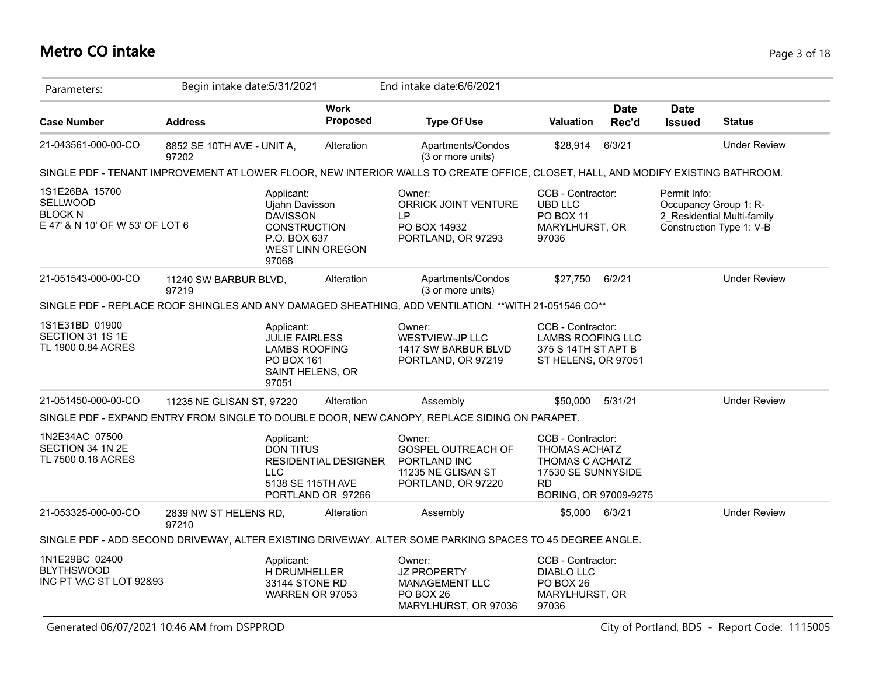# **Metro CO intake** Page 3 of 18

| Parameters:                                                                     |                                     | Begin intake date: 5/31/2021                                                                    |                                                                       | End intake date: 6/6/2021                                                                                                        |                                                                                                                          |                      |                              |                                                                                 |
|---------------------------------------------------------------------------------|-------------------------------------|-------------------------------------------------------------------------------------------------|-----------------------------------------------------------------------|----------------------------------------------------------------------------------------------------------------------------------|--------------------------------------------------------------------------------------------------------------------------|----------------------|------------------------------|---------------------------------------------------------------------------------|
| <b>Case Number</b>                                                              | <b>Address</b>                      |                                                                                                 | <b>Work</b><br><b>Proposed</b>                                        | <b>Type Of Use</b>                                                                                                               | <b>Valuation</b>                                                                                                         | <b>Date</b><br>Rec'd | <b>Date</b><br><b>Issued</b> | <b>Status</b>                                                                   |
| 21-043561-000-00-CO                                                             | 8852 SE 10TH AVE - UNIT A,<br>97202 |                                                                                                 | Alteration                                                            | Apartments/Condos<br>(3 or more units)                                                                                           | \$28,914                                                                                                                 | 6/3/21               |                              | <b>Under Review</b>                                                             |
|                                                                                 |                                     |                                                                                                 |                                                                       | SINGLE PDF - TENANT IMPROVEMENT AT LOWER FLOOR, NEW INTERIOR WALLS TO CREATE OFFICE, CLOSET, HALL, AND MODIFY EXISTING BATHROOM. |                                                                                                                          |                      |                              |                                                                                 |
| 1S1E26BA 15700<br>SELLWOOD<br><b>BLOCK N</b><br>E 47' & N 10' OF W 53' OF LOT 6 |                                     | Applicant:<br>Ujahn Davisson<br><b>DAVISSON</b><br><b>CONSTRUCTION</b><br>P.O. BOX 637<br>97068 | <b>WEST LINN OREGON</b>                                               | Owner:<br>ORRICK JOINT VENTURE<br>LP<br>PO BOX 14932<br>PORTLAND, OR 97293                                                       | CCB - Contractor:<br><b>UBD LLC</b><br>PO BOX 11<br>MARYLHURST, OR<br>97036                                              |                      | Permit Info:                 | Occupancy Group 1: R-<br>2 Residential Multi-family<br>Construction Type 1: V-B |
| 21-051543-000-00-CO                                                             | 11240 SW BARBUR BLVD,<br>97219      |                                                                                                 | Alteration                                                            | Apartments/Condos<br>(3 or more units)                                                                                           | \$27,750                                                                                                                 | 6/2/21               |                              | <b>Under Review</b>                                                             |
|                                                                                 |                                     |                                                                                                 |                                                                       | SINGLE PDF - REPLACE ROOF SHINGLES AND ANY DAMAGED SHEATHING, ADD VENTILATION. ** WITH 21-051546 CO**                            |                                                                                                                          |                      |                              |                                                                                 |
| 1S1E31BD 01900<br>SECTION 31 1S 1E<br>TL 1900 0.84 ACRES                        |                                     | Applicant:<br><b>JULIE FAIRLESS</b><br>PO BOX 161<br>97051                                      | <b>LAMBS ROOFING</b><br>SAINT HELENS, OR                              | Owner:<br><b>WESTVIEW-JP LLC</b><br>1417 SW BARBUR BLVD<br>PORTLAND, OR 97219                                                    | CCB - Contractor:<br><b>LAMBS ROOFING LLC</b><br>375 S 14TH ST APT B<br>ST HELENS, OR 97051                              |                      |                              |                                                                                 |
| 21-051450-000-00-CO                                                             | 11235 NE GLISAN ST, 97220           |                                                                                                 | Alteration                                                            | Assembly                                                                                                                         | \$50,000                                                                                                                 | 5/31/21              |                              | <b>Under Review</b>                                                             |
|                                                                                 |                                     |                                                                                                 |                                                                       | SINGLE PDF - EXPAND ENTRY FROM SINGLE TO DOUBLE DOOR, NEW CANOPY, REPLACE SIDING ON PARAPET.                                     |                                                                                                                          |                      |                              |                                                                                 |
| 1N2E34AC 07500<br>SECTION 34 1N 2E<br>TL 7500 0.16 ACRES                        |                                     | Applicant:<br><b>DON TITUS</b><br>LLC                                                           | <b>RESIDENTIAL DESIGNER</b><br>5138 SE 115TH AVE<br>PORTLAND OR 97266 | Owner:<br>GOSPEL OUTREACH OF<br>PORTLAND INC<br>11235 NE GLISAN ST<br>PORTLAND, OR 97220                                         | CCB - Contractor:<br><b>THOMAS ACHATZ</b><br>THOMAS C ACHATZ<br>17530 SE SUNNYSIDE<br><b>RD</b><br>BORING, OR 97009-9275 |                      |                              |                                                                                 |
| 21-053325-000-00-CO                                                             | 2839 NW ST HELENS RD,<br>97210      |                                                                                                 | Alteration                                                            | Assembly                                                                                                                         | \$5,000                                                                                                                  | 6/3/21               |                              | <b>Under Review</b>                                                             |
|                                                                                 |                                     |                                                                                                 |                                                                       | SINGLE PDF - ADD SECOND DRIVEWAY, ALTER EXISTING DRIVEWAY. ALTER SOME PARKING SPACES TO 45 DEGREE ANGLE.                         |                                                                                                                          |                      |                              |                                                                                 |
| 1N1E29BC 02400<br><b>BLYTHSWOOD</b><br>INC PT VAC ST LOT 92&93                  |                                     | Applicant:<br>H DRUMHELLER<br>33144 STONE RD                                                    | WARREN OR 97053                                                       | Owner:<br><b>JZ PROPERTY</b><br><b>MANAGEMENT LLC</b><br>PO BOX 26<br>MARYLHURST, OR 97036                                       | CCB - Contractor:<br><b>DIABLO LLC</b><br>PO BOX 26<br>MARYLHURST, OR<br>97036                                           |                      |                              |                                                                                 |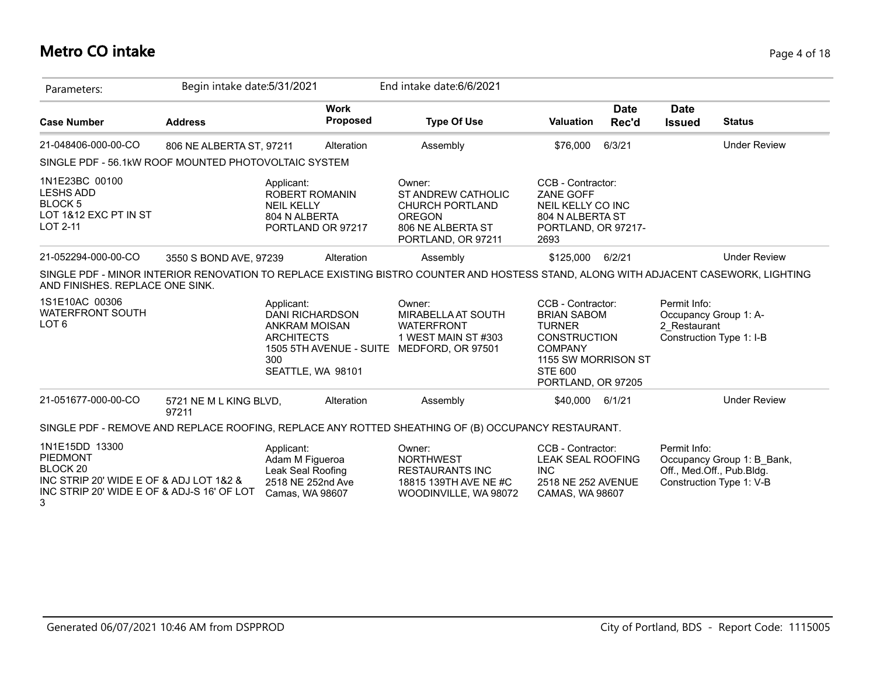#### **Metro CO intake** Page 4 of 18

| Parameters:                                                                                                                                     | Begin intake date: 5/31/2021    |                                                                                                        |                                | End intake date: 6/6/2021                                                                                                           |                                                                                                                                                                  |                      |                                                       |                                                                                     |
|-------------------------------------------------------------------------------------------------------------------------------------------------|---------------------------------|--------------------------------------------------------------------------------------------------------|--------------------------------|-------------------------------------------------------------------------------------------------------------------------------------|------------------------------------------------------------------------------------------------------------------------------------------------------------------|----------------------|-------------------------------------------------------|-------------------------------------------------------------------------------------|
| <b>Case Number</b>                                                                                                                              | <b>Address</b>                  |                                                                                                        | <b>Work</b><br><b>Proposed</b> | <b>Type Of Use</b>                                                                                                                  | <b>Valuation</b>                                                                                                                                                 | <b>Date</b><br>Rec'd | <b>Date</b><br><b>Issued</b>                          | <b>Status</b>                                                                       |
| 21-048406-000-00-CO                                                                                                                             | 806 NE ALBERTA ST, 97211        |                                                                                                        | Alteration                     | Assembly                                                                                                                            | \$76,000                                                                                                                                                         | 6/3/21               |                                                       | <b>Under Review</b>                                                                 |
| SINGLE PDF - 56.1 kW ROOF MOUNTED PHOTOVOLTAIC SYSTEM                                                                                           |                                 |                                                                                                        |                                |                                                                                                                                     |                                                                                                                                                                  |                      |                                                       |                                                                                     |
| 1N1E23BC 00100<br><b>LESHS ADD</b><br>BLOCK 5<br>LOT 1&12 EXC PT IN ST<br>LOT 2-11                                                              |                                 | Applicant:<br><b>ROBERT ROMANIN</b><br><b>NEIL KELLY</b><br>804 N ALBERTA<br>PORTLAND OR 97217         |                                | Owner:<br><b>ST ANDREW CATHOLIC</b><br><b>CHURCH PORTLAND</b><br><b>OREGON</b><br>806 NE ALBERTA ST<br>PORTLAND, OR 97211           | CCB - Contractor:<br>ZANE GOFF<br>NEIL KELLY CO INC<br>804 N ALBERTA ST<br>PORTLAND, OR 97217-<br>2693                                                           |                      |                                                       |                                                                                     |
| 21-052294-000-00-CO                                                                                                                             | 3550 S BOND AVE, 97239          |                                                                                                        | Alteration                     | Assembly                                                                                                                            | \$125,000 6/2/21                                                                                                                                                 |                      |                                                       | <b>Under Review</b>                                                                 |
| AND FINISHES. REPLACE ONE SINK.                                                                                                                 |                                 |                                                                                                        |                                | SINGLE PDF - MINOR INTERIOR RENOVATION TO REPLACE EXISTING BISTRO COUNTER AND HOSTESS STAND, ALONG WITH ADJACENT CASEWORK, LIGHTING |                                                                                                                                                                  |                      |                                                       |                                                                                     |
| 1S1E10AC 00306<br><b>WATERFRONT SOUTH</b><br>LOT <sub>6</sub>                                                                                   |                                 | Applicant:<br><b>DANI RICHARDSON</b><br>ANKRAM MOISAN<br><b>ARCHITECTS</b><br>300<br>SEATTLE, WA 98101 |                                | Owner:<br><b>MIRABELLA AT SOUTH</b><br><b>WATERFRONT</b><br>1 WEST MAIN ST #303<br>1505 5TH AVENUE - SUITE MEDFORD, OR 97501        | CCB - Contractor:<br><b>BRIAN SABOM</b><br><b>TURNER</b><br><b>CONSTRUCTION</b><br><b>COMPANY</b><br>1155 SW MORRISON ST<br><b>STE 600</b><br>PORTLAND, OR 97205 |                      | Permit Info:<br>Occupancy Group 1: A-<br>2 Restaurant | Construction Type 1: I-B                                                            |
| 21-051677-000-00-CO                                                                                                                             | 5721 NE M L KING BLVD,<br>97211 |                                                                                                        | Alteration                     | Assembly                                                                                                                            | \$40,000                                                                                                                                                         | 6/1/21               |                                                       | <b>Under Review</b>                                                                 |
|                                                                                                                                                 |                                 |                                                                                                        |                                | SINGLE PDF - REMOVE AND REPLACE ROOFING, REPLACE ANY ROTTED SHEATHING OF (B) OCCUPANCY RESTAURANT.                                  |                                                                                                                                                                  |                      |                                                       |                                                                                     |
| 1N1E15DD 13300<br>PIEDMONT<br>BLOCK <sub>20</sub><br>INC STRIP 20' WIDE E OF & ADJ LOT 1&2 &<br>INC STRIP 20' WIDE E OF & ADJ-S 16' OF LOT<br>3 |                                 | Applicant:<br>Adam M Figueroa<br>Leak Seal Roofing<br>2518 NE 252nd Ave<br>Camas, WA 98607             |                                | Owner:<br><b>NORTHWEST</b><br><b>RESTAURANTS INC</b><br>18815 139TH AVE NE #C<br>WOODINVILLE, WA 98072                              | CCB - Contractor:<br><b>LEAK SEAL ROOFING</b><br><b>INC</b><br>2518 NE 252 AVENUE<br>CAMAS, WA 98607                                                             |                      | Permit Info:                                          | Occupancy Group 1: B_Bank,<br>Off., Med.Off., Pub.Bldg.<br>Construction Type 1: V-B |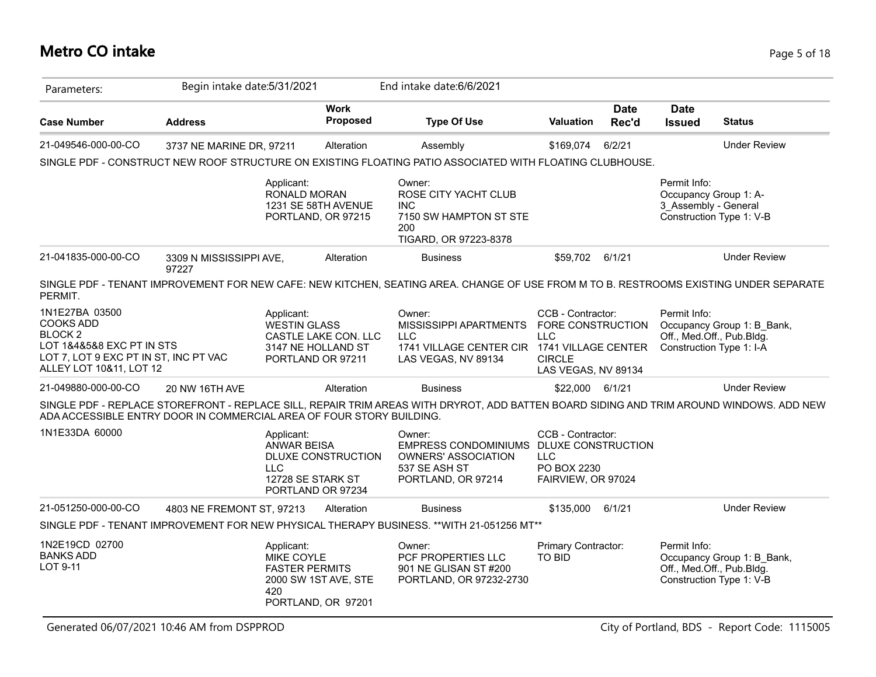# **Metro CO intake** Page 5 of 18

| Parameters:                                                                                                                                          | Begin intake date: 5/31/2021                                         |                                                              |                                                                 | End intake date: 6/6/2021                                                                                                               |                                                                                              |                      |                                      |                                                                                     |
|------------------------------------------------------------------------------------------------------------------------------------------------------|----------------------------------------------------------------------|--------------------------------------------------------------|-----------------------------------------------------------------|-----------------------------------------------------------------------------------------------------------------------------------------|----------------------------------------------------------------------------------------------|----------------------|--------------------------------------|-------------------------------------------------------------------------------------|
| <b>Case Number</b>                                                                                                                                   | <b>Address</b>                                                       |                                                              | <b>Work</b><br><b>Proposed</b>                                  | <b>Type Of Use</b>                                                                                                                      | <b>Valuation</b>                                                                             | <b>Date</b><br>Rec'd | <b>Date</b><br><b>Issued</b>         | <b>Status</b>                                                                       |
| 21-049546-000-00-CO                                                                                                                                  | 3737 NE MARINE DR, 97211                                             |                                                              | Alteration                                                      | Assembly                                                                                                                                | \$169,074                                                                                    | 6/2/21               |                                      | <b>Under Review</b>                                                                 |
|                                                                                                                                                      |                                                                      |                                                              |                                                                 | SINGLE PDF - CONSTRUCT NEW ROOF STRUCTURE ON EXISTING FLOATING PATIO ASSOCIATED WITH FLOATING CLUBHOUSE.                                |                                                                                              |                      |                                      |                                                                                     |
|                                                                                                                                                      |                                                                      | Applicant:<br>RONALD MORAN                                   | 1231 SE 58TH AVENUE<br>PORTLAND, OR 97215                       | Owner:<br>ROSE CITY YACHT CLUB<br><b>INC</b><br>7150 SW HAMPTON ST STE<br>200<br>TIGARD, OR 97223-8378                                  |                                                                                              |                      | Permit Info:<br>3 Assembly - General | Occupancy Group 1: A-<br>Construction Type 1: V-B                                   |
| 21-041835-000-00-CO                                                                                                                                  | 3309 N MISSISSIPPI AVE,<br>97227                                     |                                                              | Alteration                                                      | <b>Business</b>                                                                                                                         | \$59,702 6/1/21                                                                              |                      |                                      | <b>Under Review</b>                                                                 |
| PERMIT.                                                                                                                                              |                                                                      |                                                              |                                                                 | SINGLE PDF - TENANT IMPROVEMENT FOR NEW CAFE: NEW KITCHEN, SEATING AREA. CHANGE OF USE FROM M TO B. RESTROOMS EXISTING UNDER SEPARATE   |                                                                                              |                      |                                      |                                                                                     |
| 1N1E27BA 03500<br><b>COOKS ADD</b><br><b>BLOCK2</b><br>LOT 1&4&5&8 EXC PT IN STS<br>LOT 7, LOT 9 EXC PT IN ST, INC PT VAC<br>ALLEY LOT 10&11, LOT 12 |                                                                      | Applicant:<br><b>WESTIN GLASS</b>                            | CASTLE LAKE CON. LLC<br>3147 NE HOLLAND ST<br>PORTLAND OR 97211 | Owner:<br>MISSISSIPPI APARTMENTS<br><b>LLC</b><br>1741 VILLAGE CENTER CIR 1741 VILLAGE CENTER<br>LAS VEGAS, NV 89134                    | CCB - Contractor:<br>FORE CONSTRUCTION<br><b>LLC</b><br><b>CIRCLE</b><br>LAS VEGAS, NV 89134 |                      | Permit Info:                         | Occupancy Group 1: B_Bank,<br>Off., Med.Off., Pub.Bldg.<br>Construction Type 1: I-A |
| 21-049880-000-00-CO                                                                                                                                  | 20 NW 16TH AVE                                                       |                                                              | Alteration                                                      | <b>Business</b>                                                                                                                         | \$22,000 6/1/21                                                                              |                      |                                      | <b>Under Review</b>                                                                 |
|                                                                                                                                                      | ADA ACCESSIBLE ENTRY DOOR IN COMMERCIAL AREA OF FOUR STORY BUILDING. |                                                              |                                                                 | SINGLE PDF - REPLACE STOREFRONT - REPLACE SILL, REPAIR TRIM AREAS WITH DRYROT, ADD BATTEN BOARD SIDING AND TRIM AROUND WINDOWS. ADD NEW |                                                                                              |                      |                                      |                                                                                     |
| 1N1E33DA 60000                                                                                                                                       |                                                                      | Applicant:<br><b>ANWAR BEISA</b><br>LLC<br>12728 SE STARK ST | DLUXE CONSTRUCTION<br>PORTLAND OR 97234                         | Owner:<br>EMPRESS CONDOMINIUMS DLUXE CONSTRUCTION<br><b>OWNERS' ASSOCIATION</b><br>537 SE ASH ST<br>PORTLAND, OR 97214                  | CCB - Contractor:<br><b>LLC</b><br>PO BOX 2230<br>FAIRVIEW, OR 97024                         |                      |                                      |                                                                                     |
| 21-051250-000-00-CO                                                                                                                                  | 4803 NE FREMONT ST, 97213                                            |                                                              | Alteration                                                      | <b>Business</b>                                                                                                                         | \$135,000                                                                                    | 6/1/21               |                                      | <b>Under Review</b>                                                                 |
|                                                                                                                                                      |                                                                      |                                                              |                                                                 | SINGLE PDF - TENANT IMPROVEMENT FOR NEW PHYSICAL THERAPY BUSINESS. ** WITH 21-051256 MT**                                               |                                                                                              |                      |                                      |                                                                                     |
| 1N2E19CD 02700<br><b>BANKS ADD</b><br>LOT 9-11                                                                                                       |                                                                      | Applicant:<br>MIKE COYLE<br><b>FASTER PERMITS</b><br>420     | 2000 SW 1ST AVE, STE<br>PORTLAND, OR 97201                      | Owner:<br>PCF PROPERTIES LLC<br>901 NE GLISAN ST #200<br>PORTLAND, OR 97232-2730                                                        | Primary Contractor:<br>TO BID                                                                |                      | Permit Info:                         | Occupancy Group 1: B_Bank,<br>Off., Med.Off., Pub.Bldg.<br>Construction Type 1: V-B |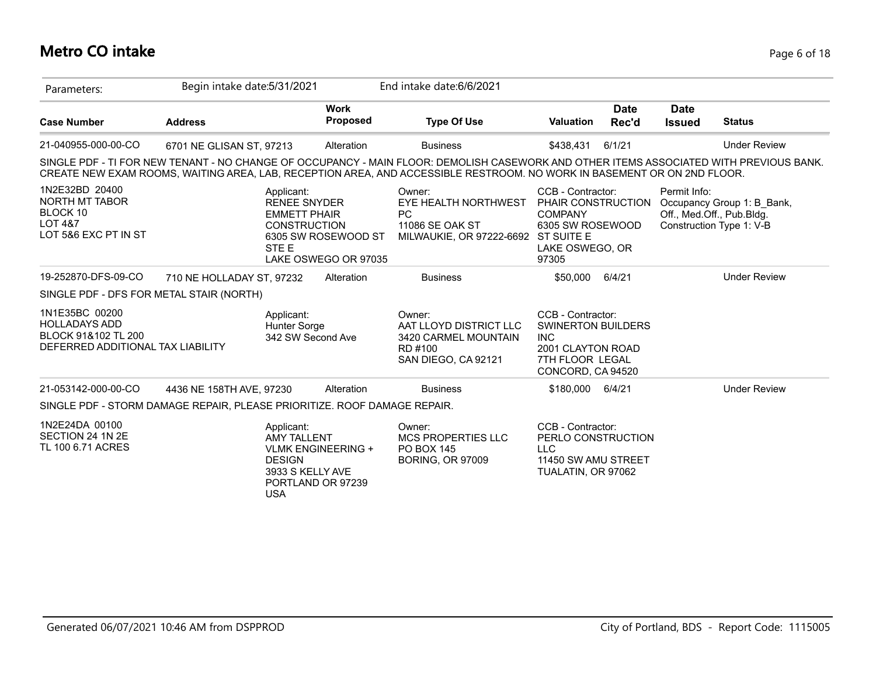# **Metro CO intake** Page 6 of 18

| Parameters:                                                                                        | Begin intake date: 5/31/2021                                                                                                                                                                                                                                      |                                                | End intake date: 6/6/2021                                                                      |                                                                                                                           |                      |                              |                                                                                     |
|----------------------------------------------------------------------------------------------------|-------------------------------------------------------------------------------------------------------------------------------------------------------------------------------------------------------------------------------------------------------------------|------------------------------------------------|------------------------------------------------------------------------------------------------|---------------------------------------------------------------------------------------------------------------------------|----------------------|------------------------------|-------------------------------------------------------------------------------------|
| <b>Case Number</b>                                                                                 | <b>Address</b>                                                                                                                                                                                                                                                    | <b>Work</b><br><b>Proposed</b>                 | <b>Type Of Use</b>                                                                             | <b>Valuation</b>                                                                                                          | <b>Date</b><br>Rec'd | <b>Date</b><br><b>Issued</b> | <b>Status</b>                                                                       |
| 21-040955-000-00-CO                                                                                | 6701 NE GLISAN ST, 97213                                                                                                                                                                                                                                          | Alteration                                     | <b>Business</b>                                                                                | \$438.431                                                                                                                 | 6/1/21               |                              | <b>Under Review</b>                                                                 |
|                                                                                                    | SINGLE PDF - TI FOR NEW TENANT - NO CHANGE OF OCCUPANCY - MAIN FLOOR: DEMOLISH CASEWORK AND OTHER ITEMS ASSOCIATED WITH PREVIOUS BANK.<br>CREATE NEW EXAM ROOMS, WAITING AREA, LAB, RECEPTION AREA, AND ACCESSIBLE RESTROOM. NO WORK IN BASEMENT OR ON 2ND FLOOR. |                                                |                                                                                                |                                                                                                                           |                      |                              |                                                                                     |
| 1N2E32BD 20400<br>NORTH MT TABOR<br>BLOCK 10<br><b>LOT 4&amp;7</b><br>LOT 5&6 EXC PT IN ST         | Applicant:<br><b>RENEE SNYDER</b><br><b>EMMETT PHAIR</b><br><b>CONSTRUCTION</b><br>STE E                                                                                                                                                                          | 6305 SW ROSEWOOD ST<br>LAKE OSWEGO OR 97035    | Owner:<br>EYE HEALTH NORTHWEST<br>PC<br>11086 SE OAK ST<br>MILWAUKIE, OR 97222-6692 ST SUITE E | CCB - Contractor:<br>PHAIR CONSTRUCTION<br><b>COMPANY</b><br>6305 SW ROSEWOOD<br>LAKE OSWEGO, OR<br>97305                 |                      | Permit Info:                 | Occupancy Group 1: B Bank,<br>Off., Med.Off., Pub.Bldg.<br>Construction Type 1: V-B |
| 19-252870-DFS-09-CO                                                                                | 710 NE HOLLADAY ST, 97232                                                                                                                                                                                                                                         | Alteration                                     | <b>Business</b>                                                                                | \$50,000                                                                                                                  | 6/4/21               |                              | <b>Under Review</b>                                                                 |
| SINGLE PDF - DFS FOR METAL STAIR (NORTH)                                                           |                                                                                                                                                                                                                                                                   |                                                |                                                                                                |                                                                                                                           |                      |                              |                                                                                     |
| 1N1E35BC 00200<br><b>HOLLADAYS ADD</b><br>BLOCK 91&102 TL 200<br>DEFERRED ADDITIONAL TAX LIABILITY | Applicant:<br>Hunter Sorge                                                                                                                                                                                                                                        | 342 SW Second Ave                              | Owner:<br>AAT LLOYD DISTRICT LLC<br>3420 CARMEL MOUNTAIN<br>RD #100<br>SAN DIEGO, CA 92121     | CCB - Contractor:<br><b>SWINERTON BUILDERS</b><br><b>INC</b><br>2001 CLAYTON ROAD<br>7TH FLOOR LEGAL<br>CONCORD, CA 94520 |                      |                              |                                                                                     |
| 21-053142-000-00-CO                                                                                | 4436 NE 158TH AVE, 97230                                                                                                                                                                                                                                          | Alteration                                     | <b>Business</b>                                                                                | \$180,000 6/4/21                                                                                                          |                      |                              | <b>Under Review</b>                                                                 |
|                                                                                                    | SINGLE PDF - STORM DAMAGE REPAIR, PLEASE PRIORITIZE. ROOF DAMAGE REPAIR.                                                                                                                                                                                          |                                                |                                                                                                |                                                                                                                           |                      |                              |                                                                                     |
| 1N2E24DA 00100<br>SECTION 24 1N 2E<br>TL 100 6.71 ACRES                                            | Applicant:<br><b>AMY TALLENT</b><br><b>DESIGN</b><br>3933 S KELLY AVE<br><b>USA</b>                                                                                                                                                                               | <b>VLMK ENGINEERING +</b><br>PORTLAND OR 97239 | Owner:<br>MCS PROPERTIES LLC<br><b>PO BOX 145</b><br><b>BORING, OR 97009</b>                   | CCB - Contractor:<br>PERLO CONSTRUCTION<br><b>LLC</b><br>11450 SW AMU STREET<br>TUALATIN, OR 97062                        |                      |                              |                                                                                     |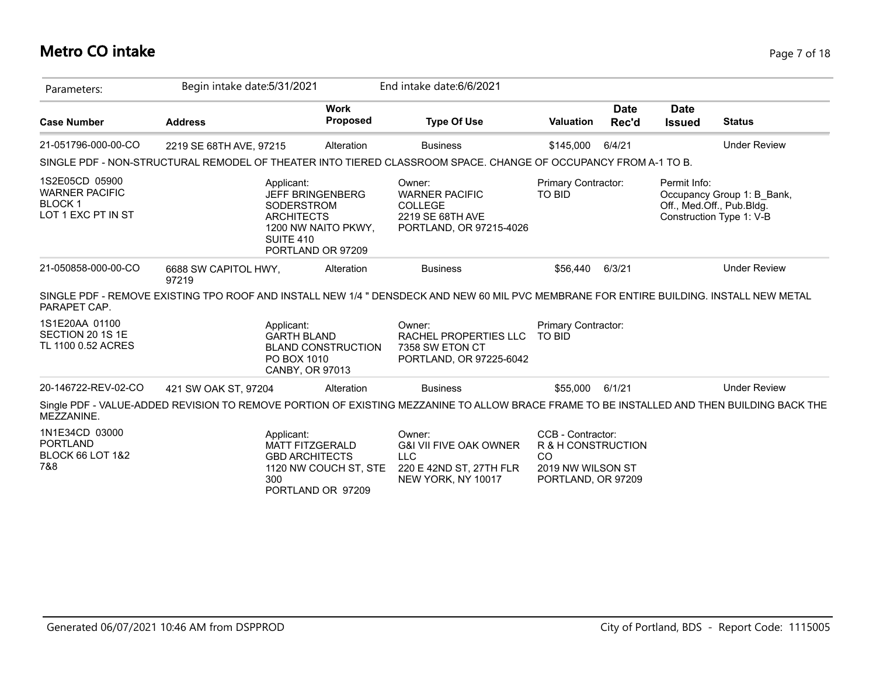# **Metro CO intake** Page 7 of 18

| Parameters:                                                                    | Begin intake date: 5/31/2021                    |                                                                                               | End intake date: 6/6/2021                                                                                                                 |                                                                                                 |                      |                              |                                                                                     |
|--------------------------------------------------------------------------------|-------------------------------------------------|-----------------------------------------------------------------------------------------------|-------------------------------------------------------------------------------------------------------------------------------------------|-------------------------------------------------------------------------------------------------|----------------------|------------------------------|-------------------------------------------------------------------------------------|
| <b>Case Number</b>                                                             | <b>Address</b>                                  | <b>Work</b><br><b>Proposed</b>                                                                | <b>Type Of Use</b>                                                                                                                        | <b>Valuation</b>                                                                                | <b>Date</b><br>Rec'd | <b>Date</b><br><b>Issued</b> | <b>Status</b>                                                                       |
| 21-051796-000-00-CO                                                            | 2219 SE 68TH AVE, 97215                         | Alteration                                                                                    | <b>Business</b>                                                                                                                           | \$145,000                                                                                       | 6/4/21               |                              | <b>Under Review</b>                                                                 |
|                                                                                |                                                 |                                                                                               | SINGLE PDF - NON-STRUCTURAL REMODEL OF THEATER INTO TIERED CLASSROOM SPACE. CHANGE OF OCCUPANCY FROM A-1 TO B.                            |                                                                                                 |                      |                              |                                                                                     |
| 1S2E05CD 05900<br><b>WARNER PACIFIC</b><br><b>BLOCK1</b><br>LOT 1 EXC PT IN ST | Applicant:<br><b>ARCHITECTS</b><br>SUITE 410    | <b>JEFF BRINGENBERG</b><br>SODERSTROM<br>1200 NW NAITO PKWY,<br>PORTLAND OR 97209             | Owner:<br><b>WARNER PACIFIC</b><br><b>COLLEGE</b><br>2219 SE 68TH AVE<br>PORTLAND, OR 97215-4026                                          | Primary Contractor:<br>TO BID                                                                   |                      | Permit Info:                 | Occupancy Group 1: B_Bank,<br>Off., Med.Off., Pub.Bldg.<br>Construction Type 1: V-B |
| 21-050858-000-00-CO                                                            | 6688 SW CAPITOL HWY,<br>97219                   | Alteration                                                                                    | <b>Business</b>                                                                                                                           | \$56,440                                                                                        | 6/3/21               |                              | <b>Under Review</b>                                                                 |
| PARAPET CAP.                                                                   |                                                 |                                                                                               | SINGLE PDF - REMOVE EXISTING TPO ROOF AND INSTALL NEW 1/4 " DENSDECK AND NEW 60 MIL PVC MEMBRANE FOR ENTIRE BUILDING. INSTALL NEW METAL   |                                                                                                 |                      |                              |                                                                                     |
| 1S1E20AA 01100<br>SECTION 20 1S 1E<br>TL 1100 0.52 ACRES                       | Applicant:<br><b>GARTH BLAND</b><br>PO BOX 1010 | <b>BLAND CONSTRUCTION</b><br><b>CANBY, OR 97013</b>                                           | Owner:<br>RACHEL PROPERTIES LLC<br>7358 SW ETON CT<br>PORTLAND, OR 97225-6042                                                             | Primary Contractor:<br><b>TO BID</b>                                                            |                      |                              |                                                                                     |
| 20-146722-REV-02-CO                                                            | 421 SW OAK ST, 97204                            | Alteration                                                                                    | <b>Business</b>                                                                                                                           | \$55.000                                                                                        | 6/1/21               |                              | <b>Under Review</b>                                                                 |
| MEZZANINE.                                                                     |                                                 |                                                                                               | Single PDF - VALUE-ADDED REVISION TO REMOVE PORTION OF EXISTING MEZZANINE TO ALLOW BRACE FRAME TO BE INSTALLED AND THEN BUILDING BACK THE |                                                                                                 |                      |                              |                                                                                     |
| 1N1E34CD 03000<br><b>PORTLAND</b><br><b>BLOCK 66 LOT 1&amp;2</b><br>7&8        | Applicant:<br>300                               | <b>MATT FITZGERALD</b><br><b>GBD ARCHITECTS</b><br>1120 NW COUCH ST, STE<br>PORTLAND OR 97209 | Owner:<br><b>G&amp;I VII FIVE OAK OWNER</b><br><b>LLC</b><br>220 E 42ND ST, 27TH FLR<br>NEW YORK, NY 10017                                | CCB - Contractor:<br>R & H CONSTRUCTION<br><b>CO</b><br>2019 NW WILSON ST<br>PORTLAND, OR 97209 |                      |                              |                                                                                     |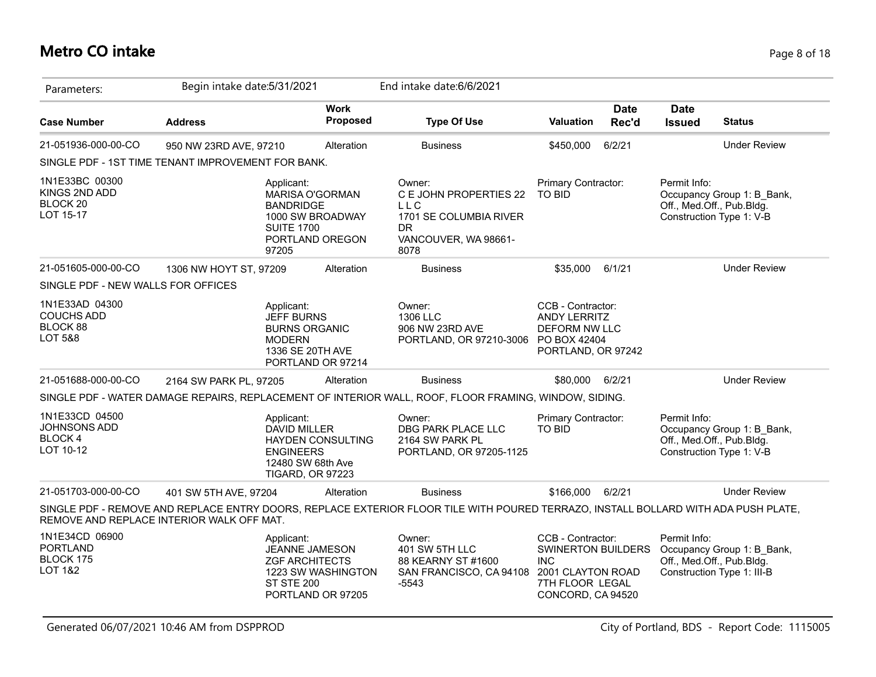#### **Metro CO intake** Page 8 of 18

| Parameters:                                                           | Begin intake date: 5/31/2021 |                                                                          |                                                                                    | End intake date: 6/6/2021                                                                                                          |                                                                                                                           |                      |                              |                                                                                       |
|-----------------------------------------------------------------------|------------------------------|--------------------------------------------------------------------------|------------------------------------------------------------------------------------|------------------------------------------------------------------------------------------------------------------------------------|---------------------------------------------------------------------------------------------------------------------------|----------------------|------------------------------|---------------------------------------------------------------------------------------|
| <b>Case Number</b>                                                    | <b>Address</b>               |                                                                          | <b>Work</b><br>Proposed                                                            | <b>Type Of Use</b>                                                                                                                 | <b>Valuation</b>                                                                                                          | <b>Date</b><br>Rec'd | <b>Date</b><br><b>Issued</b> | <b>Status</b>                                                                         |
| 21-051936-000-00-CO                                                   | 950 NW 23RD AVE, 97210       |                                                                          | Alteration                                                                         | <b>Business</b>                                                                                                                    | \$450,000                                                                                                                 | 6/2/21               |                              | <b>Under Review</b>                                                                   |
| SINGLE PDF - 1ST TIME TENANT IMPROVEMENT FOR BANK.                    |                              |                                                                          |                                                                                    |                                                                                                                                    |                                                                                                                           |                      |                              |                                                                                       |
| 1N1E33BC 00300<br>KINGS 2ND ADD<br>BLOCK 20<br>LOT 15-17              |                              | Applicant:<br><b>BANDRIDGE</b><br><b>SUITE 1700</b><br>97205             | <b>MARISA O'GORMAN</b><br>1000 SW BROADWAY<br>PORTLAND OREGON                      | Owner:<br>C E JOHN PROPERTIES 22<br><b>LLC</b><br>1701 SE COLUMBIA RIVER<br>DR.<br>VANCOUVER, WA 98661-<br>8078                    | Primary Contractor:<br><b>TO BID</b>                                                                                      |                      | Permit Info:                 | Occupancy Group 1: B_Bank,<br>Off., Med.Off., Pub.Bldg.<br>Construction Type 1: V-B   |
| 21-051605-000-00-CO                                                   | 1306 NW HOYT ST, 97209       |                                                                          | Alteration                                                                         | <b>Business</b>                                                                                                                    | \$35,000                                                                                                                  | 6/1/21               |                              | <b>Under Review</b>                                                                   |
| SINGLE PDF - NEW WALLS FOR OFFICES                                    |                              |                                                                          |                                                                                    |                                                                                                                                    |                                                                                                                           |                      |                              |                                                                                       |
| 1N1E33AD 04300<br><b>COUCHS ADD</b><br>BLOCK 88<br><b>LOT 5&amp;8</b> |                              | Applicant:<br><b>JEFF BURNS</b><br><b>BURNS ORGANIC</b><br><b>MODERN</b> | 1336 SE 20TH AVE<br>PORTLAND OR 97214                                              | Owner:<br>1306 LLC<br>906 NW 23RD AVE<br>PORTLAND, OR 97210-3006                                                                   | CCB - Contractor:<br><b>ANDY LERRITZ</b><br>DEFORM NW LLC<br>PO BOX 42404<br>PORTLAND, OR 97242                           |                      |                              |                                                                                       |
| 21-051688-000-00-CO                                                   | 2164 SW PARK PL, 97205       |                                                                          | Alteration                                                                         | <b>Business</b>                                                                                                                    | \$80,000 6/2/21                                                                                                           |                      |                              | <b>Under Review</b>                                                                   |
|                                                                       |                              |                                                                          |                                                                                    | SINGLE PDF - WATER DAMAGE REPAIRS, REPLACEMENT OF INTERIOR WALL, ROOF, FLOOR FRAMING, WINDOW, SIDING.                              |                                                                                                                           |                      |                              |                                                                                       |
| 1N1E33CD 04500<br>JOHNSONS ADD<br><b>BLOCK 4</b><br>LOT 10-12         |                              | Applicant:<br><b>DAVID MILLER</b><br><b>ENGINEERS</b>                    | <b>HAYDEN CONSULTING</b><br>12480 SW 68th Ave<br><b>TIGARD, OR 97223</b>           | Owner:<br>DBG PARK PLACE LLC<br>2164 SW PARK PL<br>PORTLAND, OR 97205-1125                                                         | Primary Contractor:<br><b>TO BID</b>                                                                                      |                      | Permit Info:                 | Occupancy Group 1: B Bank,<br>Off., Med.Off., Pub.Bldg.<br>Construction Type 1: V-B   |
| 21-051703-000-00-CO                                                   | 401 SW 5TH AVE, 97204        |                                                                          | Alteration                                                                         | <b>Business</b>                                                                                                                    | \$166,000                                                                                                                 | 6/2/21               |                              | <b>Under Review</b>                                                                   |
| REMOVE AND REPLACE INTERIOR WALK OFF MAT.                             |                              |                                                                          |                                                                                    | SINGLE PDF - REMOVE AND REPLACE ENTRY DOORS, REPLACE EXTERIOR FLOOR TILE WITH POURED TERRAZO, INSTALL BOLLARD WITH ADA PUSH PLATE, |                                                                                                                           |                      |                              |                                                                                       |
| 1N1E34CD 06900<br><b>PORTLAND</b><br>BLOCK 175<br><b>LOT 1&amp;2</b>  |                              | Applicant:<br><b>ST STE 200</b>                                          | JEANNE JAMESON<br><b>ZGF ARCHITECTS</b><br>1223 SW WASHINGTON<br>PORTLAND OR 97205 | Owner:<br>401 SW 5TH LLC<br>88 KEARNY ST #1600<br>SAN FRANCISCO, CA 94108<br>$-5543$                                               | CCB - Contractor:<br><b>SWINERTON BUILDERS</b><br><b>INC</b><br>2001 CLAYTON ROAD<br>7TH FLOOR LEGAL<br>CONCORD, CA 94520 |                      | Permit Info:                 | Occupancy Group 1: B_Bank,<br>Off., Med.Off., Pub.Bldg.<br>Construction Type 1: III-B |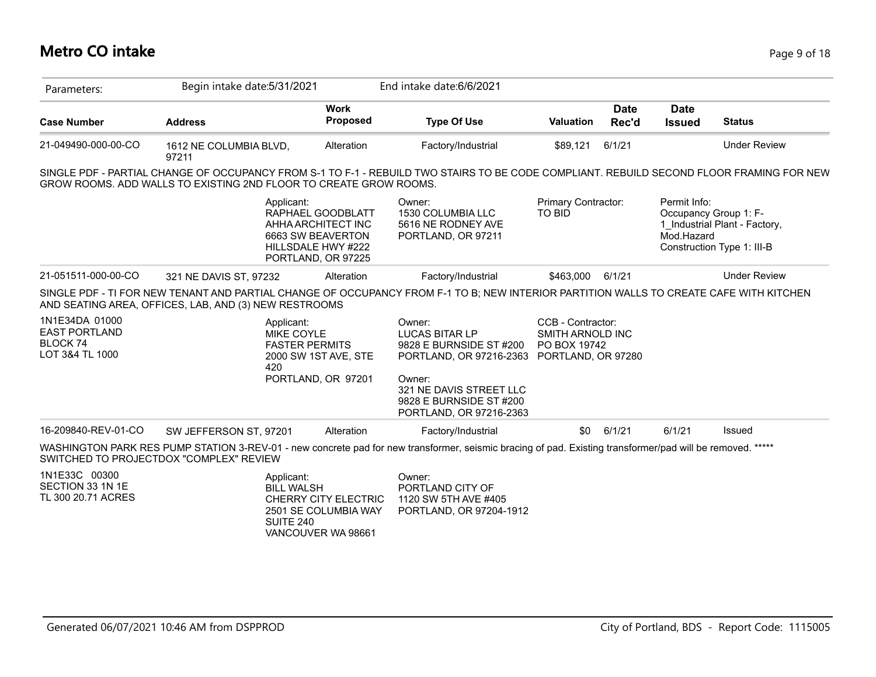| Parameters:                                                           | Begin intake date: 5/31/2021                                                                                                                                                                                  |                                                                                                          | End intake date: 6/6/2021                                                                                   |                                                       |             |                            |                                                                                      |
|-----------------------------------------------------------------------|---------------------------------------------------------------------------------------------------------------------------------------------------------------------------------------------------------------|----------------------------------------------------------------------------------------------------------|-------------------------------------------------------------------------------------------------------------|-------------------------------------------------------|-------------|----------------------------|--------------------------------------------------------------------------------------|
|                                                                       |                                                                                                                                                                                                               | <b>Work</b>                                                                                              |                                                                                                             |                                                       | <b>Date</b> | <b>Date</b>                |                                                                                      |
| <b>Case Number</b>                                                    | <b>Address</b>                                                                                                                                                                                                | <b>Proposed</b>                                                                                          | <b>Type Of Use</b>                                                                                          | <b>Valuation</b>                                      | Rec'd       | <b>Issued</b>              | <b>Status</b>                                                                        |
| 21-049490-000-00-CO                                                   | 1612 NE COLUMBIA BLVD,<br>97211                                                                                                                                                                               | Alteration                                                                                               | Factory/Industrial                                                                                          | \$89,121                                              | 6/1/21      |                            | <b>Under Review</b>                                                                  |
|                                                                       | SINGLE PDF - PARTIAL CHANGE OF OCCUPANCY FROM S-1 TO F-1 - REBUILD TWO STAIRS TO BE CODE COMPLIANT. REBUILD SECOND FLOOR FRAMING FOR NEW<br>GROW ROOMS. ADD WALLS TO EXISTING 2ND FLOOR TO CREATE GROW ROOMS. |                                                                                                          |                                                                                                             |                                                       |             |                            |                                                                                      |
|                                                                       | Applicant:                                                                                                                                                                                                    | RAPHAEL GOODBLATT<br>AHHA ARCHITECT INC<br>6663 SW BEAVERTON<br>HILLSDALE HWY #222<br>PORTLAND, OR 97225 | Owner:<br>1530 COLUMBIA LLC<br>5616 NE RODNEY AVE<br>PORTLAND, OR 97211                                     | Primary Contractor:<br><b>TO BID</b>                  |             | Permit Info:<br>Mod.Hazard | Occupancy Group 1: F-<br>1 Industrial Plant - Factory,<br>Construction Type 1: III-B |
| 21-051511-000-00-CO                                                   | 321 NE DAVIS ST, 97232                                                                                                                                                                                        | Alteration                                                                                               | Factory/Industrial                                                                                          | \$463,000                                             | 6/1/21      |                            | <b>Under Review</b>                                                                  |
|                                                                       | SINGLE PDF - TI FOR NEW TENANT AND PARTIAL CHANGE OF OCCUPANCY FROM F-1 TO B; NEW INTERIOR PARTITION WALLS TO CREATE CAFE WITH KITCHEN<br>AND SEATING AREA, OFFICES, LAB, AND (3) NEW RESTROOMS               |                                                                                                          |                                                                                                             |                                                       |             |                            |                                                                                      |
| 1N1E34DA 01000<br><b>EAST PORTLAND</b><br>BLOCK 74<br>LOT 3&4 TL 1000 | Applicant:<br>MIKE COYLE<br><b>FASTER PERMITS</b><br>420                                                                                                                                                      | 2000 SW 1ST AVE, STE<br>PORTLAND, OR 97201                                                               | Owner:<br>LUCAS BITAR LP<br>9828 E BURNSIDE ST #200<br>PORTLAND, OR 97216-2363 PORTLAND, OR 97280<br>Owner: | CCB - Contractor:<br>SMITH ARNOLD INC<br>PO BOX 19742 |             |                            |                                                                                      |
|                                                                       |                                                                                                                                                                                                               |                                                                                                          | 321 NE DAVIS STREET LLC<br>9828 E BURNSIDE ST #200<br>PORTLAND, OR 97216-2363                               |                                                       |             |                            |                                                                                      |
| 16-209840-REV-01-CO                                                   | SW JEFFERSON ST, 97201                                                                                                                                                                                        | Alteration                                                                                               | Factory/Industrial                                                                                          | \$0                                                   | 6/1/21      | 6/1/21                     | Issued                                                                               |
|                                                                       | WASHINGTON PARK RES PUMP STATION 3-REV-01 - new concrete pad for new transformer, seismic bracing of pad. Existing transformer/pad will be removed. *****<br>SWITCHED TO PROJECTDOX "COMPLEX" REVIEW          |                                                                                                          |                                                                                                             |                                                       |             |                            |                                                                                      |
| 1N1E33C 00300<br>SECTION 33 1N 1E<br>TL 300 20.71 ACRES               | Applicant:<br><b>BILL WALSH</b><br>SUITE 240                                                                                                                                                                  | <b>CHERRY CITY ELECTRIC</b><br>2501 SE COLUMBIA WAY<br>VANCOUVER WA 98661                                | Owner:<br>PORTLAND CITY OF<br>1120 SW 5TH AVE #405<br>PORTLAND, OR 97204-1912                               |                                                       |             |                            |                                                                                      |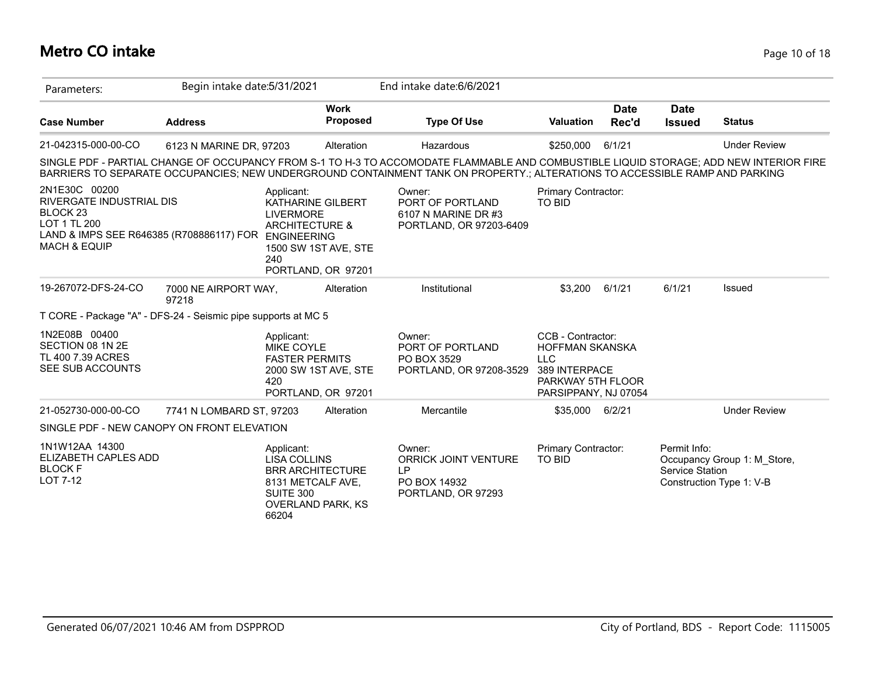# **Metro CO intake** Page 10 of 18

| Parameters:                                                                                                                                                     | Begin intake date: 5/31/2021  |                                                                                                                                       |                                | End intake date: 6/6/2021                                                                                                                                                                                                                                             |                                                                                                                         |                      |                                        |                                                         |
|-----------------------------------------------------------------------------------------------------------------------------------------------------------------|-------------------------------|---------------------------------------------------------------------------------------------------------------------------------------|--------------------------------|-----------------------------------------------------------------------------------------------------------------------------------------------------------------------------------------------------------------------------------------------------------------------|-------------------------------------------------------------------------------------------------------------------------|----------------------|----------------------------------------|---------------------------------------------------------|
| <b>Case Number</b>                                                                                                                                              | <b>Address</b>                |                                                                                                                                       | <b>Work</b><br><b>Proposed</b> | <b>Type Of Use</b>                                                                                                                                                                                                                                                    | <b>Valuation</b>                                                                                                        | <b>Date</b><br>Rec'd | <b>Date</b><br><b>Issued</b>           | <b>Status</b>                                           |
| 21-042315-000-00-CO                                                                                                                                             | 6123 N MARINE DR, 97203       |                                                                                                                                       | Alteration                     | Hazardous                                                                                                                                                                                                                                                             | \$250,000                                                                                                               | 6/1/21               |                                        | <b>Under Review</b>                                     |
|                                                                                                                                                                 |                               |                                                                                                                                       |                                | SINGLE PDF - PARTIAL CHANGE OF OCCUPANCY FROM S-1 TO H-3 TO ACCOMODATE FLAMMABLE AND COMBUSTIBLE LIQUID STORAGE; ADD NEW INTERIOR FIRE<br>BARRIERS TO SEPARATE OCCUPANCIES; NEW UNDERGROUND CONTAINMENT TANK ON PROPERTY.; ALTERATIONS TO ACCESSIBLE RAMP AND PARKING |                                                                                                                         |                      |                                        |                                                         |
| 2N1E30C 00200<br>RIVERGATE INDUSTRIAL DIS<br><b>BLOCK 23</b><br>LOT 1 TL 200<br>LAND & IMPS SEE R646385 (R708886117) FOR ENGINEERING<br><b>MACH &amp; EQUIP</b> |                               | Applicant:<br>KATHARINE GILBERT<br><b>LIVERMORE</b><br><b>ARCHITECTURE &amp;</b><br>1500 SW 1ST AVE, STE<br>240<br>PORTLAND, OR 97201 |                                | Owner:<br>PORT OF PORTLAND<br>6107 N MARINE DR #3<br>PORTLAND, OR 97203-6409                                                                                                                                                                                          | Primary Contractor:<br><b>TO BID</b>                                                                                    |                      |                                        |                                                         |
| 19-267072-DFS-24-CO                                                                                                                                             | 7000 NE AIRPORT WAY,<br>97218 |                                                                                                                                       | Alteration                     | Institutional                                                                                                                                                                                                                                                         | \$3,200                                                                                                                 | 6/1/21               | 6/1/21                                 | Issued                                                  |
| T CORE - Package "A" - DFS-24 - Seismic pipe supports at MC 5                                                                                                   |                               |                                                                                                                                       |                                |                                                                                                                                                                                                                                                                       |                                                                                                                         |                      |                                        |                                                         |
| 1N2E08B 00400<br>SECTION 08 1N 2E<br>TL 400 7.39 ACRES<br>SEE SUB ACCOUNTS                                                                                      |                               | Applicant:<br>MIKE COYLE<br><b>FASTER PERMITS</b><br>2000 SW 1ST AVE, STE<br>420<br>PORTLAND, OR 97201                                |                                | Owner:<br>PORT OF PORTLAND<br>PO BOX 3529<br>PORTLAND, OR 97208-3529                                                                                                                                                                                                  | CCB - Contractor:<br><b>HOFFMAN SKANSKA</b><br><b>LLC</b><br>389 INTERPACE<br>PARKWAY 5TH FLOOR<br>PARSIPPANY, NJ 07054 |                      |                                        |                                                         |
| 21-052730-000-00-CO                                                                                                                                             | 7741 N LOMBARD ST, 97203      |                                                                                                                                       | Alteration                     | Mercantile                                                                                                                                                                                                                                                            | \$35,000                                                                                                                | 6/2/21               |                                        | <b>Under Review</b>                                     |
| SINGLE PDF - NEW CANOPY ON FRONT ELEVATION                                                                                                                      |                               |                                                                                                                                       |                                |                                                                                                                                                                                                                                                                       |                                                                                                                         |                      |                                        |                                                         |
| 1N1W12AA 14300<br>ELIZABETH CAPLES ADD<br><b>BLOCK F</b><br><b>LOT 7-12</b>                                                                                     |                               | Applicant:<br><b>LISA COLLINS</b><br><b>BRR ARCHITECTURE</b><br>8131 METCALF AVE,<br>SUITE 300<br><b>OVERLAND PARK, KS</b><br>66204   |                                | Owner:<br><b>ORRICK JOINT VENTURE</b><br>LP.<br>PO BOX 14932<br>PORTLAND, OR 97293                                                                                                                                                                                    | Primary Contractor:<br><b>TO BID</b>                                                                                    |                      | Permit Info:<br><b>Service Station</b> | Occupancy Group 1: M Store,<br>Construction Type 1: V-B |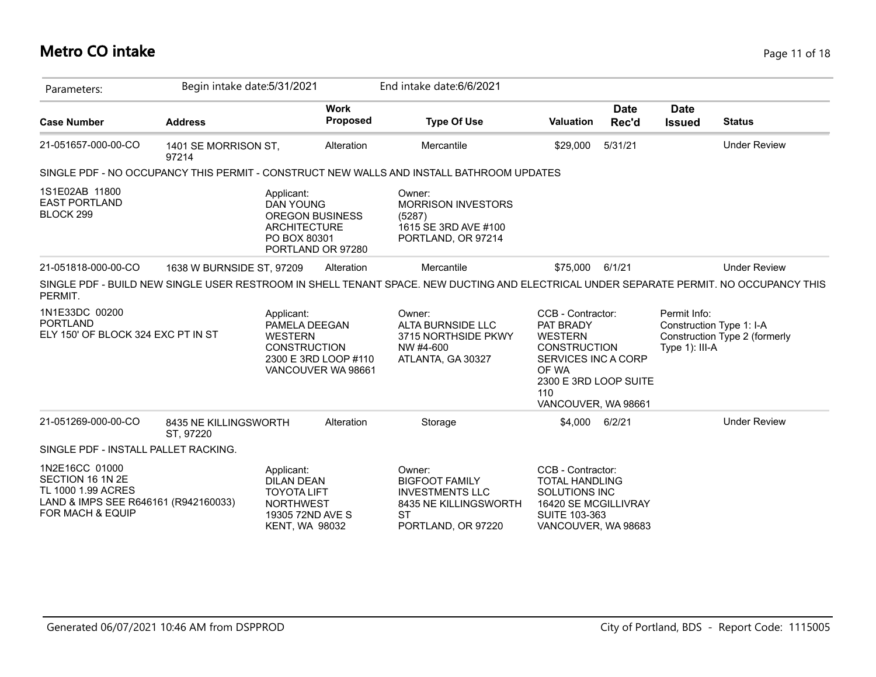#### **Metro CO intake** Page 11 of 18

| Parameters:                                                                                                          | Begin intake date: 5/31/2021       |                                                                                                                        | End intake date: 6/6/2021                                                                                                              |                                                                                                                                                                |                      |                                |                                                           |
|----------------------------------------------------------------------------------------------------------------------|------------------------------------|------------------------------------------------------------------------------------------------------------------------|----------------------------------------------------------------------------------------------------------------------------------------|----------------------------------------------------------------------------------------------------------------------------------------------------------------|----------------------|--------------------------------|-----------------------------------------------------------|
| <b>Case Number</b>                                                                                                   | <b>Address</b>                     | <b>Work</b><br><b>Proposed</b>                                                                                         | <b>Type Of Use</b>                                                                                                                     | <b>Valuation</b>                                                                                                                                               | <b>Date</b><br>Rec'd | <b>Date</b><br><b>Issued</b>   | <b>Status</b>                                             |
| 21-051657-000-00-CO                                                                                                  | 1401 SE MORRISON ST,<br>97214      | Alteration                                                                                                             | Mercantile                                                                                                                             | \$29,000                                                                                                                                                       | 5/31/21              |                                | <b>Under Review</b>                                       |
|                                                                                                                      |                                    |                                                                                                                        | SINGLE PDF - NO OCCUPANCY THIS PERMIT - CONSTRUCT NEW WALLS AND INSTALL BATHROOM UPDATES                                               |                                                                                                                                                                |                      |                                |                                                           |
| 1S1E02AB 11800<br><b>EAST PORTLAND</b><br>BLOCK 299                                                                  |                                    | Applicant:<br><b>DAN YOUNG</b><br><b>OREGON BUSINESS</b><br><b>ARCHITECTURE</b><br>PO BOX 80301<br>PORTLAND OR 97280   | Owner:<br><b>MORRISON INVESTORS</b><br>(5287)<br>1615 SE 3RD AVE #100<br>PORTLAND, OR 97214                                            |                                                                                                                                                                |                      |                                |                                                           |
| 21-051818-000-00-CO                                                                                                  | 1638 W BURNSIDE ST, 97209          | Alteration                                                                                                             | Mercantile                                                                                                                             | \$75,000                                                                                                                                                       | 6/1/21               |                                | <b>Under Review</b>                                       |
| PERMIT.                                                                                                              |                                    |                                                                                                                        | SINGLE PDF - BUILD NEW SINGLE USER RESTROOM IN SHELL TENANT SPACE. NEW DUCTING AND ELECTRICAL UNDER SEPARATE PERMIT. NO OCCUPANCY THIS |                                                                                                                                                                |                      |                                |                                                           |
| 1N1E33DC 00200<br><b>PORTLAND</b><br>ELY 150' OF BLOCK 324 EXC PT IN ST                                              |                                    | Applicant:<br>PAMELA DEEGAN<br><b>WESTERN</b><br><b>CONSTRUCTION</b><br>2300 E 3RD LOOP #110<br>VANCOUVER WA 98661     | Owner:<br><b>ALTA BURNSIDE LLC</b><br>3715 NORTHSIDE PKWY<br>NW #4-600<br>ATLANTA, GA 30327                                            | CCB - Contractor:<br>PAT BRADY<br><b>WESTERN</b><br><b>CONSTRUCTION</b><br>SERVICES INC A CORP<br>OF WA<br>2300 E 3RD LOOP SUITE<br>110<br>VANCOUVER, WA 98661 |                      | Permit Info:<br>Type 1): III-A | Construction Type 1: I-A<br>Construction Type 2 (formerly |
| 21-051269-000-00-CO                                                                                                  | 8435 NE KILLINGSWORTH<br>ST, 97220 | Alteration                                                                                                             | Storage                                                                                                                                | \$4,000                                                                                                                                                        | 6/2/21               |                                | <b>Under Review</b>                                       |
| SINGLE PDF - INSTALL PALLET RACKING.                                                                                 |                                    |                                                                                                                        |                                                                                                                                        |                                                                                                                                                                |                      |                                |                                                           |
| 1N2E16CC 01000<br>SECTION 16 1N 2E<br>TL 1000 1.99 ACRES<br>LAND & IMPS SEE R646161 (R942160033)<br>FOR MACH & EQUIP |                                    | Applicant:<br><b>DILAN DEAN</b><br><b>TOYOTA LIFT</b><br><b>NORTHWEST</b><br>19305 72ND AVE S<br><b>KENT, WA 98032</b> | Owner:<br><b>BIGFOOT FAMILY</b><br><b>INVESTMENTS LLC</b><br>8435 NE KILLINGSWORTH<br><b>ST</b><br>PORTLAND, OR 97220                  | CCB - Contractor:<br><b>TOTAL HANDLING</b><br>SOLUTIONS INC<br>16420 SE MCGILLIVRAY<br>SUITE 103-363<br>VANCOUVER, WA 98683                                    |                      |                                |                                                           |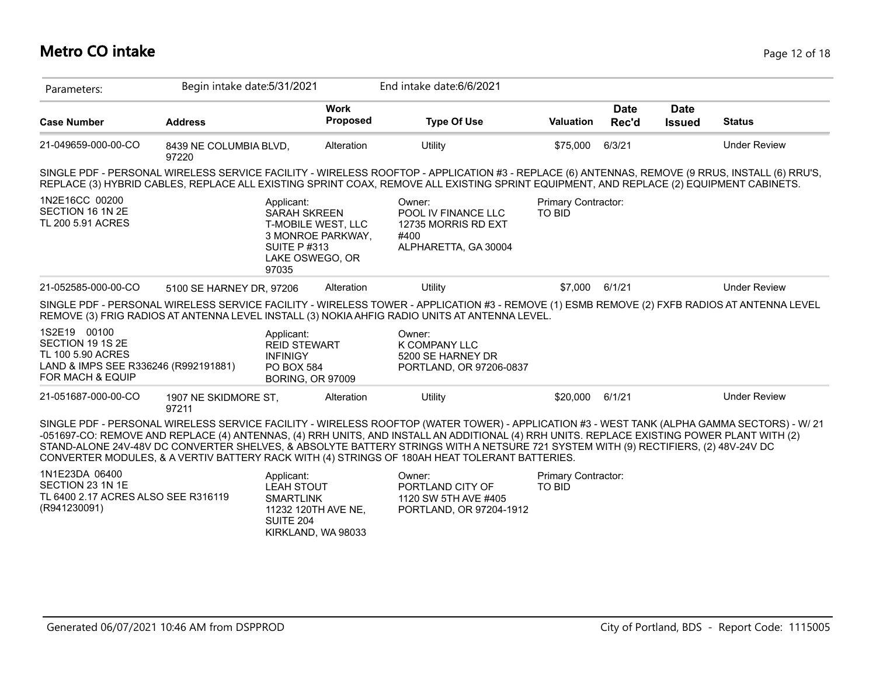# **Metro CO intake** Page 12 of 18

| Parameters:                                                                                                       | Begin intake date: 5/31/2021    |                                                                                                                                |                                | End intake date: 6/6/2021                                                                                                                                                                                                                                                                                                                                                                                                                                                                                                        |                                             |                      |                              |                     |
|-------------------------------------------------------------------------------------------------------------------|---------------------------------|--------------------------------------------------------------------------------------------------------------------------------|--------------------------------|----------------------------------------------------------------------------------------------------------------------------------------------------------------------------------------------------------------------------------------------------------------------------------------------------------------------------------------------------------------------------------------------------------------------------------------------------------------------------------------------------------------------------------|---------------------------------------------|----------------------|------------------------------|---------------------|
| <b>Case Number</b>                                                                                                | <b>Address</b>                  |                                                                                                                                | <b>Work</b><br><b>Proposed</b> | <b>Type Of Use</b>                                                                                                                                                                                                                                                                                                                                                                                                                                                                                                               | <b>Valuation</b>                            | <b>Date</b><br>Rec'd | <b>Date</b><br><b>Issued</b> | <b>Status</b>       |
| 21-049659-000-00-CO                                                                                               | 8439 NE COLUMBIA BLVD,<br>97220 |                                                                                                                                | Alteration                     | Utility                                                                                                                                                                                                                                                                                                                                                                                                                                                                                                                          | \$75,000                                    | 6/3/21               |                              | <b>Under Review</b> |
|                                                                                                                   |                                 |                                                                                                                                |                                | SINGLE PDF - PERSONAL WIRELESS SERVICE FACILITY - WIRELESS ROOFTOP - APPLICATION #3 - REPLACE (6) ANTENNAS, REMOVE (9 RRUS, INSTALL (6) RRU'S,<br>REPLACE (3) HYBRID CABLES, REPLACE ALL EXISTING SPRINT COAX, REMOVE ALL EXISTING SPRINT EQUIPMENT, AND REPLACE (2) EQUIPMENT CABINETS.                                                                                                                                                                                                                                         |                                             |                      |                              |                     |
| 1N2E16CC 00200<br>SECTION 16 1N 2E<br>TL 200 5.91 ACRES                                                           |                                 | Applicant:<br><b>SARAH SKREEN</b><br>T-MOBILE WEST, LLC<br>3 MONROE PARKWAY,<br><b>SUITE P#313</b><br>LAKE OSWEGO, OR<br>97035 |                                | Owner:<br>POOL IV FINANCE LLC<br>12735 MORRIS RD EXT<br>#400<br>ALPHARETTA, GA 30004                                                                                                                                                                                                                                                                                                                                                                                                                                             | Primary Contractor:<br><b>TO BID</b>        |                      |                              |                     |
| 21-052585-000-00-CO                                                                                               | 5100 SE HARNEY DR, 97206        |                                                                                                                                | Alteration                     | Utility                                                                                                                                                                                                                                                                                                                                                                                                                                                                                                                          | \$7,000                                     | 6/1/21               |                              | <b>Under Review</b> |
|                                                                                                                   |                                 |                                                                                                                                |                                | SINGLE PDF - PERSONAL WIRELESS SERVICE FACILITY - WIRELESS TOWER - APPLICATION #3 - REMOVE (1) ESMB REMOVE (2) FXFB RADIOS AT ANTENNA LEVEL<br>REMOVE (3) FRIG RADIOS AT ANTENNA LEVEL INSTALL (3) NOKIA AHFIG RADIO UNITS AT ANTENNA LEVEL.                                                                                                                                                                                                                                                                                     |                                             |                      |                              |                     |
| 1S2E19 00100<br>SECTION 19 1S 2E<br>TL 100 5.90 ACRES<br>LAND & IMPS SEE R336246 (R992191881)<br>FOR MACH & EQUIP |                                 | Applicant:<br><b>REID STEWART</b><br><b>INFINIGY</b><br>PO BOX 584<br><b>BORING, OR 97009</b>                                  |                                | Owner:<br><b>K COMPANY LLC</b><br>5200 SE HARNEY DR<br>PORTLAND, OR 97206-0837                                                                                                                                                                                                                                                                                                                                                                                                                                                   |                                             |                      |                              |                     |
| 21-051687-000-00-CO                                                                                               | 1907 NE SKIDMORE ST,<br>97211   |                                                                                                                                | Alteration                     | Utility                                                                                                                                                                                                                                                                                                                                                                                                                                                                                                                          | \$20,000                                    | 6/1/21               |                              | <b>Under Review</b> |
|                                                                                                                   |                                 |                                                                                                                                |                                | SINGLE PDF - PERSONAL WIRELESS SERVICE FACILITY - WIRELESS ROOFTOP (WATER TOWER) - APPLICATION #3 - WEST TANK (ALPHA GAMMA SECTORS) - W/ 21<br>-051697-CO: REMOVE AND REPLACE (4) ANTENNAS, (4) RRH UNITS, AND INSTALL AN ADDITIONAL (4) RRH UNITS. REPLACE EXISTING POWER PLANT WITH (2)<br>STAND-ALONE 24V-48V DC CONVERTER SHELVES, & ABSOLYTE BATTERY STRINGS WITH A NETSURE 721 SYSTEM WITH (9) RECTIFIERS, (2) 48V-24V DC<br>CONVERTER MODULES, & A VERTIV BATTERY RACK WITH (4) STRINGS OF 180AH HEAT TOLERANT BATTERIES. |                                             |                      |                              |                     |
| 1N1E23DA 06400<br>SECTION 23 1N 1E<br>TL 6400 2.17 ACRES ALSO SEE R316119<br>(R941230091)                         |                                 | Applicant:<br><b>LEAH STOUT</b><br><b>SMARTLINK</b><br>11232 120TH AVE NE,<br><b>SUITE 204</b><br>KIRKLAND, WA 98033           |                                | Owner:<br>PORTLAND CITY OF<br>1120 SW 5TH AVE #405<br>PORTLAND, OR 97204-1912                                                                                                                                                                                                                                                                                                                                                                                                                                                    | <b>Primary Contractor:</b><br><b>TO BID</b> |                      |                              |                     |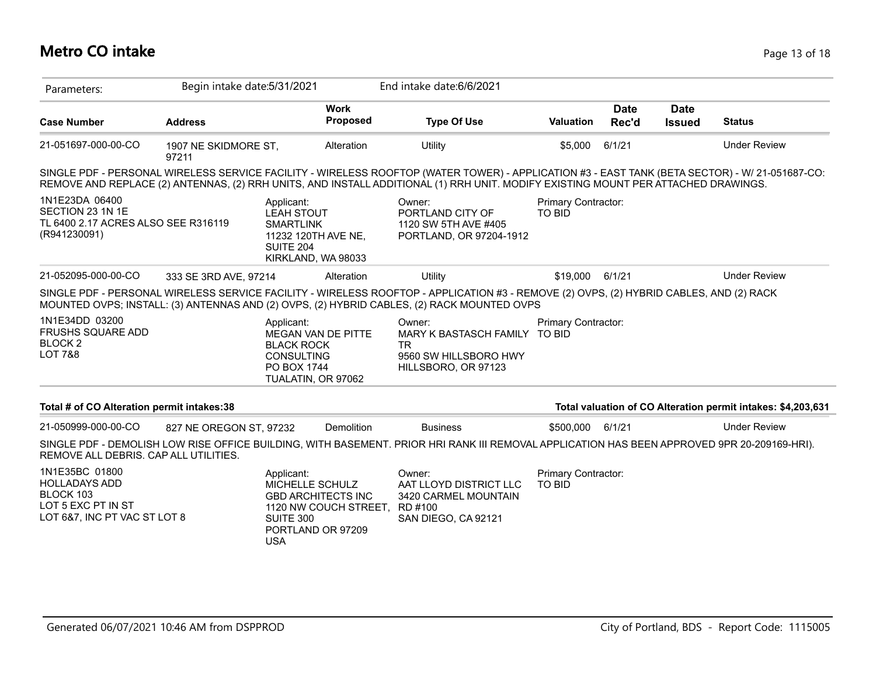# **Metro CO intake** Page 13 of 18

| Parameters:                                                                                               | Begin intake date: 5/31/2021  |                                                                                                                 |                         | End intake date: 6/6/2021                                                                                                                                                                                                                                                           |                                      |                      |                              |                                                              |
|-----------------------------------------------------------------------------------------------------------|-------------------------------|-----------------------------------------------------------------------------------------------------------------|-------------------------|-------------------------------------------------------------------------------------------------------------------------------------------------------------------------------------------------------------------------------------------------------------------------------------|--------------------------------------|----------------------|------------------------------|--------------------------------------------------------------|
| <b>Case Number</b>                                                                                        | <b>Address</b>                |                                                                                                                 | <b>Work</b><br>Proposed | <b>Type Of Use</b>                                                                                                                                                                                                                                                                  | <b>Valuation</b>                     | <b>Date</b><br>Rec'd | <b>Date</b><br><b>Issued</b> | <b>Status</b>                                                |
| 21-051697-000-00-CO                                                                                       | 1907 NE SKIDMORE ST,<br>97211 |                                                                                                                 | Alteration              | Utility                                                                                                                                                                                                                                                                             | \$5,000                              | 6/1/21               |                              | <b>Under Review</b>                                          |
|                                                                                                           |                               |                                                                                                                 |                         | SINGLE PDF - PERSONAL WIRELESS SERVICE FACILITY - WIRELESS ROOFTOP (WATER TOWER) - APPLICATION #3 - EAST TANK (BETA SECTOR) - W/ 21-051687-CO:<br>REMOVE AND REPLACE (2) ANTENNAS, (2) RRH UNITS, AND INSTALL ADDITIONAL (1) RRH UNIT. MODIFY EXISTING MOUNT PER ATTACHED DRAWINGS. |                                      |                      |                              |                                                              |
| 1N1E23DA 06400<br>SECTION 23 1N 1E<br>TL 6400 2.17 ACRES ALSO SEE R316119<br>(R941230091)                 |                               | Applicant:<br><b>LEAH STOUT</b><br><b>SMARTLINK</b><br>11232 120TH AVE NE,<br>SUITE 204<br>KIRKLAND, WA 98033   |                         | Owner:<br>PORTLAND CITY OF<br>1120 SW 5TH AVE #405<br>PORTLAND, OR 97204-1912                                                                                                                                                                                                       | Primary Contractor:<br><b>TO BID</b> |                      |                              |                                                              |
| 21-052095-000-00-CO                                                                                       | 333 SE 3RD AVE, 97214         |                                                                                                                 | Alteration              | Utility                                                                                                                                                                                                                                                                             | \$19,000                             | 6/1/21               |                              | <b>Under Review</b>                                          |
|                                                                                                           |                               |                                                                                                                 |                         | SINGLE PDF - PERSONAL WIRELESS SERVICE FACILITY - WIRELESS ROOFTOP - APPLICATION #3 - REMOVE (2) OVPS, (2) HYBRID CABLES, AND (2) RACK<br>MOUNTED OVPS; INSTALL: (3) ANTENNAS AND (2) OVPS, (2) HYBRID CABLES, (2) RACK MOUNTED OVPS                                                |                                      |                      |                              |                                                              |
| 1N1E34DD 03200<br><b>FRUSHS SQUARE ADD</b><br>BLOCK <sub>2</sub><br><b>LOT 7&amp;8</b>                    |                               | Applicant:<br>MEGAN VAN DE PITTE<br><b>BLACK ROCK</b><br><b>CONSULTING</b><br>PO BOX 1744<br>TUALATIN, OR 97062 |                         | Owner:<br>MARY K BASTASCH FAMILY<br>TR.<br>9560 SW HILLSBORO HWY<br>HILLSBORO, OR 97123                                                                                                                                                                                             | Primary Contractor:<br><b>TO BID</b> |                      |                              |                                                              |
| Total # of CO Alteration permit intakes:38                                                                |                               |                                                                                                                 |                         |                                                                                                                                                                                                                                                                                     |                                      |                      |                              | Total valuation of CO Alteration permit intakes: \$4,203,631 |
| 21-050999-000-00-CO                                                                                       | 827 NE OREGON ST, 97232       |                                                                                                                 | Demolition              | <b>Business</b>                                                                                                                                                                                                                                                                     | \$500,000                            | 6/1/21               |                              | <b>Under Review</b>                                          |
| REMOVE ALL DEBRIS, CAP ALL UTILITIES.                                                                     |                               |                                                                                                                 |                         | SINGLE PDF - DEMOLISH LOW RISE OFFICE BUILDING, WITH BASEMENT. PRIOR HRI RANK III REMOVAL APPLICATION HAS BEEN APPROVED 9PR 20-209169-HRI).                                                                                                                                         |                                      |                      |                              |                                                              |
| 1N1E35BC 01800<br><b>HOLLADAYS ADD</b><br>BLOCK 103<br>LOT 5 EXC PT IN ST<br>LOT 6&7, INC PT VAC ST LOT 8 |                               | Applicant:<br>MICHELLE SCHULZ<br><b>GBD ARCHITECTS INC</b><br>SUITE 300<br>PORTLAND OR 97209<br><b>USA</b>      | 1120 NW COUCH STREET,   | Owner:<br>AAT LLOYD DISTRICT LLC<br>3420 CARMEL MOUNTAIN<br>RD #100<br>SAN DIEGO, CA 92121                                                                                                                                                                                          | Primary Contractor:<br><b>TO BID</b> |                      |                              |                                                              |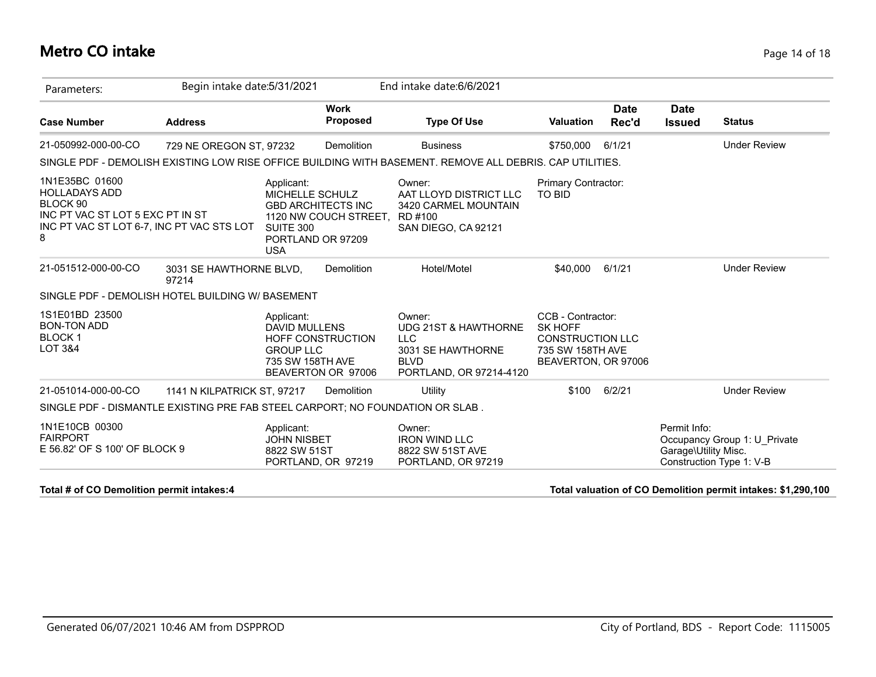#### **Metro CO intake** Page 14 of 18

| Parameters:                                                                                                                              | Begin intake date: 5/31/2021     |                                                                               |                                                    | End intake date: 6/6/2021                                                                                   |                                                                                                    |                      |                                      |                                                          |
|------------------------------------------------------------------------------------------------------------------------------------------|----------------------------------|-------------------------------------------------------------------------------|----------------------------------------------------|-------------------------------------------------------------------------------------------------------------|----------------------------------------------------------------------------------------------------|----------------------|--------------------------------------|----------------------------------------------------------|
| <b>Case Number</b>                                                                                                                       | <b>Address</b>                   |                                                                               | <b>Work</b><br><b>Proposed</b>                     | <b>Type Of Use</b>                                                                                          | <b>Valuation</b>                                                                                   | <b>Date</b><br>Rec'd | <b>Date</b><br><b>Issued</b>         | <b>Status</b>                                            |
| 21-050992-000-00-CO                                                                                                                      | 729 NE OREGON ST, 97232          |                                                                               | Demolition                                         | <b>Business</b>                                                                                             | \$750.000                                                                                          | 6/1/21               |                                      | <b>Under Review</b>                                      |
|                                                                                                                                          |                                  |                                                                               |                                                    | SINGLE PDF - DEMOLISH EXISTING LOW RISE OFFICE BUILDING WITH BASEMENT. REMOVE ALL DEBRIS, CAP UTILITIES.    |                                                                                                    |                      |                                      |                                                          |
| 1N1E35BC 01600<br><b>HOLLADAYS ADD</b><br>BLOCK 90<br>INC PT VAC ST LOT 5 EXC PT IN ST<br>INC PT VAC ST LOT 6-7, INC PT VAC STS LOT<br>8 |                                  | Applicant:<br>MICHELLE SCHULZ<br>SUITE 300<br>PORTLAND OR 97209<br><b>USA</b> | <b>GBD ARCHITECTS INC</b><br>1120 NW COUCH STREET, | Owner:<br>AAT LLOYD DISTRICT LLC<br>3420 CARMEL MOUNTAIN<br>RD #100<br>SAN DIEGO, CA 92121                  | Primary Contractor:<br><b>TO BID</b>                                                               |                      |                                      |                                                          |
| 21-051512-000-00-CO                                                                                                                      | 3031 SE HAWTHORNE BLVD,<br>97214 |                                                                               | Demolition                                         | Hotel/Motel                                                                                                 | \$40,000                                                                                           | 6/1/21               |                                      | <b>Under Review</b>                                      |
| SINGLE PDF - DEMOLISH HOTEL BUILDING W/ BASEMENT                                                                                         |                                  |                                                                               |                                                    |                                                                                                             |                                                                                                    |                      |                                      |                                                          |
| 1S1E01BD 23500<br><b>BON-TON ADD</b><br><b>BLOCK1</b><br><b>LOT 3&amp;4</b>                                                              |                                  | Applicant:<br><b>DAVID MULLENS</b><br><b>GROUP LLC</b><br>735 SW 158TH AVE    | <b>HOFF CONSTRUCTION</b><br>BEAVERTON OR 97006     | Owner:<br>UDG 21ST & HAWTHORNE<br><b>LLC</b><br>3031 SE HAWTHORNE<br><b>BLVD</b><br>PORTLAND, OR 97214-4120 | CCB - Contractor:<br>SK HOFF<br><b>CONSTRUCTION LLC</b><br>735 SW 158TH AVE<br>BEAVERTON, OR 97006 |                      |                                      |                                                          |
| 21-051014-000-00-CO                                                                                                                      | 1141 N KILPATRICK ST, 97217      |                                                                               | Demolition                                         | Utility                                                                                                     | \$100                                                                                              | 6/2/21               |                                      | <b>Under Review</b>                                      |
| SINGLE PDF - DISMANTLE EXISTING PRE FAB STEEL CARPORT; NO FOUNDATION OR SLAB.                                                            |                                  |                                                                               |                                                    |                                                                                                             |                                                                                                    |                      |                                      |                                                          |
| 1N1E10CB 00300<br><b>FAIRPORT</b><br>E 56.82' OF S 100' OF BLOCK 9                                                                       |                                  | Applicant:<br><b>JOHN NISBET</b><br>8822 SW 51ST                              | PORTLAND, OR 97219                                 | Owner:<br><b>IRON WIND LLC</b><br>8822 SW 51ST AVE<br>PORTLAND, OR 97219                                    |                                                                                                    |                      | Permit Info:<br>Garage\Utility Misc. | Occupancy Group 1: U Private<br>Construction Type 1: V-B |

#### **Total # of CO Demolition permit intakes:4 Total valuation of CO Demolition permit intakes: \$1,290,100**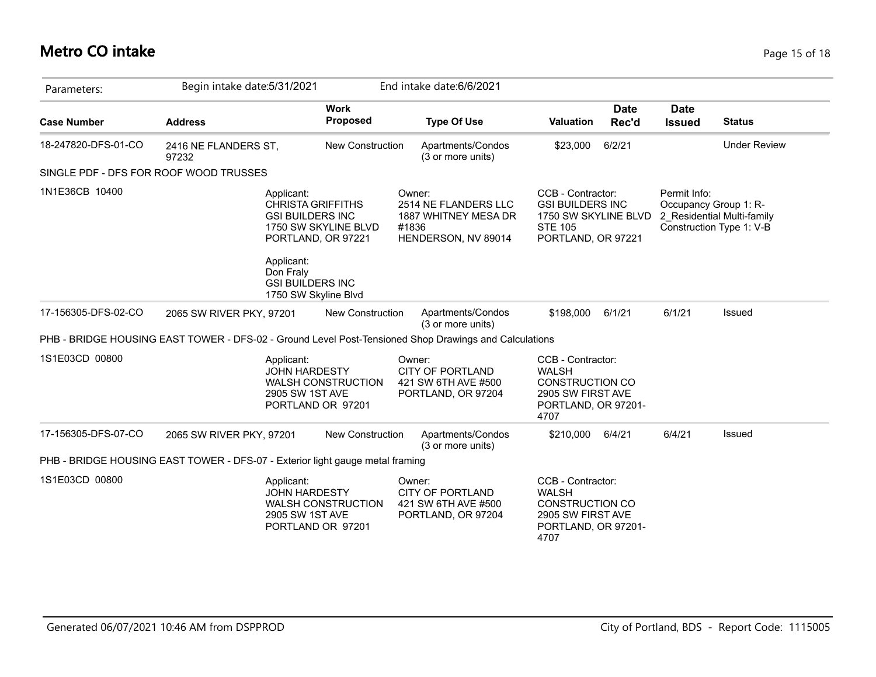#### **Metro CO intake** Page 15 of 18

| Parameters:                                                                                           | Begin intake date: 5/31/2021  |                                                                                                                                                                       |                           |                 | End intake date: 6/6/2021                                            |                                                                                                                 |                      |                                       |                                                        |
|-------------------------------------------------------------------------------------------------------|-------------------------------|-----------------------------------------------------------------------------------------------------------------------------------------------------------------------|---------------------------|-----------------|----------------------------------------------------------------------|-----------------------------------------------------------------------------------------------------------------|----------------------|---------------------------------------|--------------------------------------------------------|
| <b>Case Number</b>                                                                                    | <b>Address</b>                |                                                                                                                                                                       | <b>Work</b><br>Proposed   |                 | <b>Type Of Use</b>                                                   | Valuation                                                                                                       | <b>Date</b><br>Rec'd | <b>Date</b><br><b>Issued</b>          | <b>Status</b>                                          |
| 18-247820-DFS-01-CO                                                                                   | 2416 NE FLANDERS ST,<br>97232 |                                                                                                                                                                       | New Construction          |                 | Apartments/Condos<br>(3 or more units)                               | \$23,000                                                                                                        | 6/2/21               |                                       | <b>Under Review</b>                                    |
| SINGLE PDF - DFS FOR ROOF WOOD TRUSSES                                                                |                               |                                                                                                                                                                       |                           |                 |                                                                      |                                                                                                                 |                      |                                       |                                                        |
| 1N1E36CB 10400                                                                                        |                               | Applicant:<br><b>CHRISTA GRIFFITHS</b><br><b>GSI BUILDERS INC</b><br>PORTLAND, OR 97221<br>Applicant:<br>Don Fraly<br><b>GSI BUILDERS INC</b><br>1750 SW Skyline Blvd | 1750 SW SKYLINE BLVD      | Owner:<br>#1836 | 2514 NE FLANDERS LLC<br>1887 WHITNEY MESA DR<br>HENDERSON, NV 89014  | CCB - Contractor:<br><b>GSI BUILDERS INC</b><br>1750 SW SKYLINE BLVD<br><b>STE 105</b><br>PORTLAND, OR 97221    |                      | Permit Info:<br>Occupancy Group 1: R- | 2 Residential Multi-family<br>Construction Type 1: V-B |
| 17-156305-DFS-02-CO                                                                                   | 2065 SW RIVER PKY, 97201      |                                                                                                                                                                       | <b>New Construction</b>   |                 | Apartments/Condos<br>(3 or more units)                               | \$198,000                                                                                                       | 6/1/21               | 6/1/21                                | Issued                                                 |
| PHB - BRIDGE HOUSING EAST TOWER - DFS-02 - Ground Level Post-Tensioned Shop Drawings and Calculations |                               |                                                                                                                                                                       |                           |                 |                                                                      |                                                                                                                 |                      |                                       |                                                        |
| 1S1E03CD 00800                                                                                        |                               | Applicant:<br><b>JOHN HARDESTY</b><br>2905 SW 1ST AVE<br>PORTLAND OR 97201                                                                                            | <b>WALSH CONSTRUCTION</b> | Owner:          | <b>CITY OF PORTLAND</b><br>421 SW 6TH AVE #500<br>PORTLAND, OR 97204 | CCB - Contractor:<br><b>WALSH</b><br><b>CONSTRUCTION CO</b><br>2905 SW FIRST AVE<br>PORTLAND, OR 97201-<br>4707 |                      |                                       |                                                        |
| 17-156305-DFS-07-CO                                                                                   | 2065 SW RIVER PKY, 97201      |                                                                                                                                                                       | New Construction          |                 | Apartments/Condos<br>(3 or more units)                               | \$210,000                                                                                                       | 6/4/21               | 6/4/21                                | Issued                                                 |
| PHB - BRIDGE HOUSING EAST TOWER - DFS-07 - Exterior light gauge metal framing                         |                               |                                                                                                                                                                       |                           |                 |                                                                      |                                                                                                                 |                      |                                       |                                                        |
| 1S1E03CD 00800                                                                                        |                               | Applicant:<br><b>JOHN HARDESTY</b><br>2905 SW 1ST AVE<br>PORTLAND OR 97201                                                                                            | <b>WALSH CONSTRUCTION</b> | Owner:          | <b>CITY OF PORTLAND</b><br>421 SW 6TH AVE #500<br>PORTLAND, OR 97204 | CCB - Contractor:<br><b>WALSH</b><br><b>CONSTRUCTION CO</b><br>2905 SW FIRST AVE<br>PORTLAND, OR 97201-<br>4707 |                      |                                       |                                                        |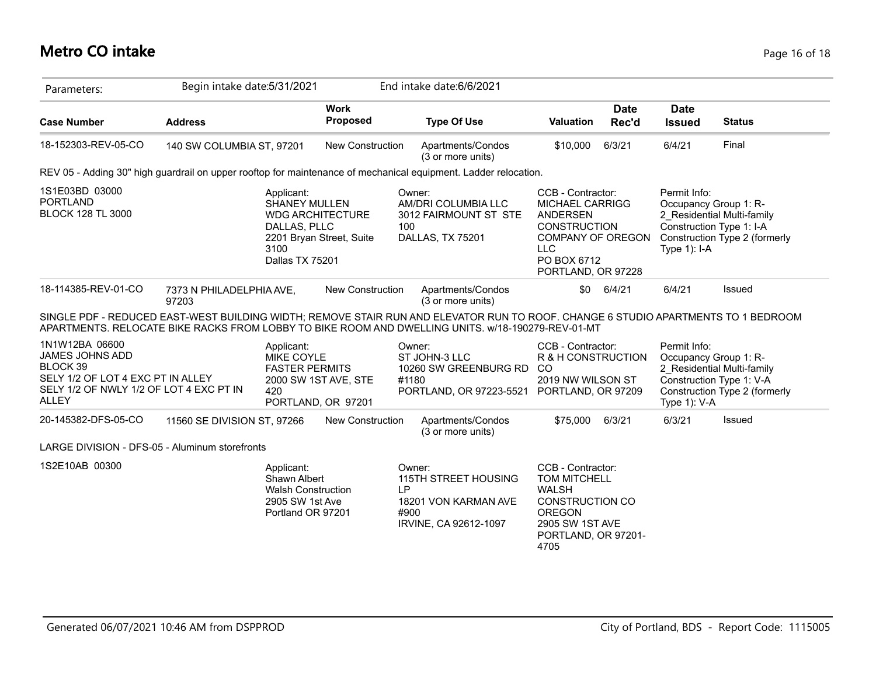#### **Metro CO intake** Page 16 of 18

| Parameters:                                                                                                                                   | Begin intake date: 5/31/2021      |                                                                                                 |                                                     | End intake date: 6/6/2021                                                                                                                                                                                                              |                                                                                                                                                               |                      |                                 |                                                                                                                  |
|-----------------------------------------------------------------------------------------------------------------------------------------------|-----------------------------------|-------------------------------------------------------------------------------------------------|-----------------------------------------------------|----------------------------------------------------------------------------------------------------------------------------------------------------------------------------------------------------------------------------------------|---------------------------------------------------------------------------------------------------------------------------------------------------------------|----------------------|---------------------------------|------------------------------------------------------------------------------------------------------------------|
| <b>Case Number</b>                                                                                                                            | <b>Address</b>                    |                                                                                                 | <b>Work</b><br>Proposed                             | <b>Type Of Use</b>                                                                                                                                                                                                                     | <b>Valuation</b>                                                                                                                                              | <b>Date</b><br>Rec'd | <b>Date</b><br><b>Issued</b>    | <b>Status</b>                                                                                                    |
| 18-152303-REV-05-CO                                                                                                                           | 140 SW COLUMBIA ST, 97201         |                                                                                                 | New Construction                                    | Apartments/Condos<br>(3 or more units)                                                                                                                                                                                                 | \$10,000                                                                                                                                                      | 6/3/21               | 6/4/21                          | Final                                                                                                            |
|                                                                                                                                               |                                   |                                                                                                 |                                                     | REV 05 - Adding 30" high guardrail on upper rooftop for maintenance of mechanical equipment. Ladder relocation.                                                                                                                        |                                                                                                                                                               |                      |                                 |                                                                                                                  |
| 1S1E03BD 03000<br><b>PORTLAND</b><br><b>BLOCK 128 TL 3000</b>                                                                                 |                                   | Applicant:<br><b>SHANEY MULLEN</b><br>DALLAS, PLLC<br>3100<br>Dallas TX 75201                   | <b>WDG ARCHITECTURE</b><br>2201 Bryan Street, Suite | Owner:<br>AM/DRI COLUMBIA LLC<br>3012 FAIRMOUNT ST STE<br>100<br>DALLAS, TX 75201                                                                                                                                                      | CCB - Contractor:<br>MICHAEL CARRIGG<br><b>ANDERSEN</b><br><b>CONSTRUCTION</b><br><b>COMPANY OF OREGON</b><br><b>LLC</b><br>PO BOX 6712<br>PORTLAND, OR 97228 |                      | Permit Info:<br>Type $1$ ): I-A | Occupancy Group 1: R-<br>2 Residential Multi-family<br>Construction Type 1: I-A<br>Construction Type 2 (formerly |
| 18-114385-REV-01-CO                                                                                                                           | 7373 N PHILADELPHIA AVE,<br>97203 |                                                                                                 | <b>New Construction</b>                             | Apartments/Condos<br>(3 or more units)                                                                                                                                                                                                 | \$0                                                                                                                                                           | 6/4/21               | 6/4/21                          | Issued                                                                                                           |
|                                                                                                                                               |                                   |                                                                                                 |                                                     | SINGLE PDF - REDUCED EAST-WEST BUILDING WIDTH; REMOVE STAIR RUN AND ELEVATOR RUN TO ROOF. CHANGE 6 STUDIO APARTMENTS TO 1 BEDROOM<br>APARTMENTS. RELOCATE BIKE RACKS FROM LOBBY TO BIKE ROOM AND DWELLING UNITS. w/18-190279-REV-01-MT |                                                                                                                                                               |                      |                                 |                                                                                                                  |
| 1N1W12BA 06600<br>JAMES JOHNS ADD<br>BLOCK 39<br>SELY 1/2 OF LOT 4 EXC PT IN ALLEY<br>SELY 1/2 OF NWLY 1/2 OF LOT 4 EXC PT IN<br><b>ALLEY</b> |                                   | Applicant:<br><b>MIKE COYLE</b><br><b>FASTER PERMITS</b><br>420                                 | 2000 SW 1ST AVE, STE<br>PORTLAND, OR 97201          | Owner:<br>ST JOHN-3 LLC<br>10260 SW GREENBURG RD<br>#1180<br>PORTLAND, OR 97223-5521                                                                                                                                                   | CCB - Contractor:<br>R & H CONSTRUCTION<br>CO<br>2019 NW WILSON ST<br>PORTLAND, OR 97209                                                                      |                      | Permit Info:<br>Type $1$ ): V-A | Occupancy Group 1: R-<br>2 Residential Multi-family<br>Construction Type 1: V-A<br>Construction Type 2 (formerly |
| 20-145382-DFS-05-CO                                                                                                                           | 11560 SE DIVISION ST, 97266       |                                                                                                 | <b>New Construction</b>                             | Apartments/Condos<br>(3 or more units)                                                                                                                                                                                                 | \$75,000                                                                                                                                                      | 6/3/21               | 6/3/21                          | Issued                                                                                                           |
| LARGE DIVISION - DFS-05 - Aluminum storefronts                                                                                                |                                   |                                                                                                 |                                                     |                                                                                                                                                                                                                                        |                                                                                                                                                               |                      |                                 |                                                                                                                  |
| 1S2E10AB 00300                                                                                                                                |                                   | Applicant:<br>Shawn Albert<br><b>Walsh Construction</b><br>2905 SW 1st Ave<br>Portland OR 97201 |                                                     | Owner:<br>115TH STREET HOUSING<br>LP<br>18201 VON KARMAN AVE<br>#900<br>IRVINE, CA 92612-1097                                                                                                                                          | CCB - Contractor:<br><b>TOM MITCHELL</b><br><b>WALSH</b><br><b>CONSTRUCTION CO</b><br><b>OREGON</b><br>2905 SW 1ST AVE<br>PORTLAND, OR 97201-<br>4705         |                      |                                 |                                                                                                                  |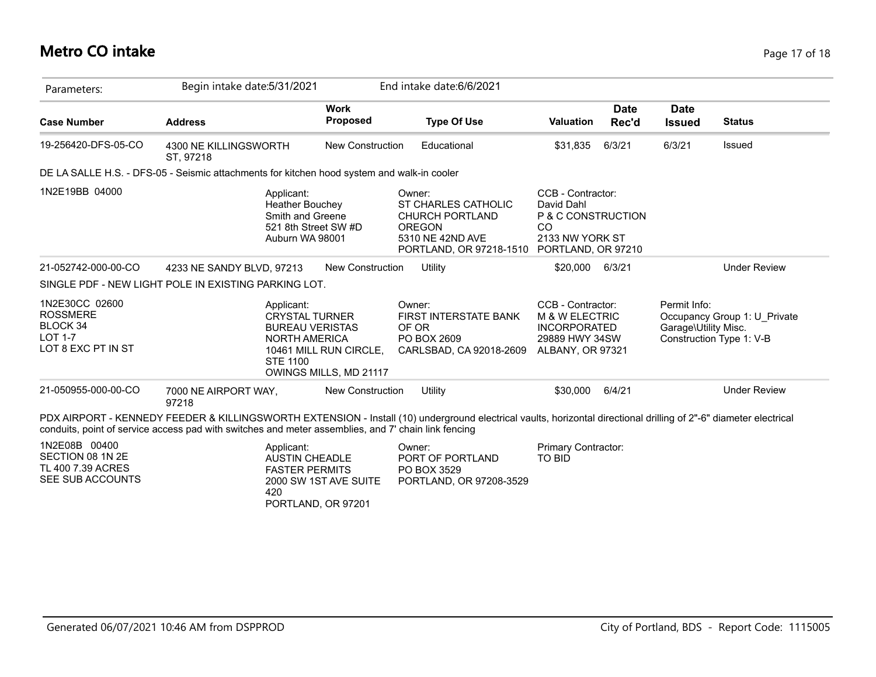# **Metro CO intake** Page 17 of 18

| Parameters:                                                                                  | Begin intake date: 5/31/2021                                                                                                                                                                                                                                             |                                                  | End intake date: 6/6/2021                                                                                               |                                                                                                                 |                      |                                      |                                                          |
|----------------------------------------------------------------------------------------------|--------------------------------------------------------------------------------------------------------------------------------------------------------------------------------------------------------------------------------------------------------------------------|--------------------------------------------------|-------------------------------------------------------------------------------------------------------------------------|-----------------------------------------------------------------------------------------------------------------|----------------------|--------------------------------------|----------------------------------------------------------|
| <b>Case Number</b>                                                                           | <b>Address</b>                                                                                                                                                                                                                                                           | <b>Work</b><br>Proposed                          | <b>Type Of Use</b>                                                                                                      | <b>Valuation</b>                                                                                                | <b>Date</b><br>Rec'd | <b>Date</b><br><b>Issued</b>         | <b>Status</b>                                            |
| 19-256420-DFS-05-CO                                                                          | 4300 NE KILLINGSWORTH<br>ST, 97218                                                                                                                                                                                                                                       | <b>New Construction</b>                          | Educational                                                                                                             | \$31,835                                                                                                        | 6/3/21               | 6/3/21                               | Issued                                                   |
|                                                                                              | DE LA SALLE H.S. - DFS-05 - Seismic attachments for kitchen hood system and walk-in cooler                                                                                                                                                                               |                                                  |                                                                                                                         |                                                                                                                 |                      |                                      |                                                          |
| 1N2E19BB 04000                                                                               | Applicant:<br><b>Heather Bouchey</b><br>Smith and Greene<br>521 8th Street SW #D<br>Auburn WA 98001                                                                                                                                                                      |                                                  | Owner:<br>ST CHARLES CATHOLIC<br><b>CHURCH PORTLAND</b><br><b>OREGON</b><br>5310 NE 42ND AVE<br>PORTLAND, OR 97218-1510 | CCB - Contractor:<br>David Dahl<br>P & C CONSTRUCTION<br><sub>CO</sub><br>2133 NW YORK ST<br>PORTLAND, OR 97210 |                      |                                      |                                                          |
| 21-052742-000-00-CO                                                                          | 4233 NE SANDY BLVD, 97213                                                                                                                                                                                                                                                | <b>New Construction</b>                          | Utility                                                                                                                 | \$20,000 6/3/21                                                                                                 |                      |                                      | <b>Under Review</b>                                      |
|                                                                                              | SINGLE PDF - NEW LIGHT POLE IN EXISTING PARKING LOT.                                                                                                                                                                                                                     |                                                  |                                                                                                                         |                                                                                                                 |                      |                                      |                                                          |
| 1N2E30CC 02600<br><b>ROSSMERE</b><br><b>BLOCK 34</b><br><b>LOT 1-7</b><br>LOT 8 EXC PT IN ST | Applicant:<br><b>CRYSTAL TURNER</b><br><b>BUREAU VERISTAS</b><br><b>NORTH AMERICA</b><br><b>STE 1100</b>                                                                                                                                                                 | 10461 MILL RUN CIRCLE,<br>OWINGS MILLS, MD 21117 | Owner:<br>FIRST INTERSTATE BANK<br>OF OR<br>PO BOX 2609<br>CARLSBAD, CA 92018-2609                                      | CCB - Contractor:<br><b>M &amp; W ELECTRIC</b><br><b>INCORPORATED</b><br>29889 HWY 34SW<br>ALBANY, OR 97321     |                      | Permit Info:<br>Garage\Utility Misc. | Occupancy Group 1: U Private<br>Construction Type 1: V-B |
| 21-050955-000-00-CO                                                                          | 7000 NE AIRPORT WAY,<br>97218                                                                                                                                                                                                                                            | New Construction                                 | Utility                                                                                                                 | \$30,000                                                                                                        | 6/4/21               |                                      | <b>Under Review</b>                                      |
|                                                                                              | PDX AIRPORT - KENNEDY FEEDER & KILLINGSWORTH EXTENSION - Install (10) underground electrical vaults, horizontal directional drilling of 2"-6" diameter electrical<br>conduits, point of service access pad with switches and meter assemblies, and 7' chain link fencing |                                                  |                                                                                                                         |                                                                                                                 |                      |                                      |                                                          |
| 1N2E08B 00400<br>SECTION 08 1N 2E<br>TL 400 7.39 ACRES<br>SEE SUB ACCOUNTS                   | Applicant:<br><b>AUSTIN CHEADLE</b><br><b>FASTER PERMITS</b><br>420<br>PORTLAND, OR 97201                                                                                                                                                                                | 2000 SW 1ST AVE SUITE                            | Owner:<br>PORT OF PORTLAND<br>PO BOX 3529<br>PORTLAND, OR 97208-3529                                                    | Primary Contractor:<br><b>TO BID</b>                                                                            |                      |                                      |                                                          |